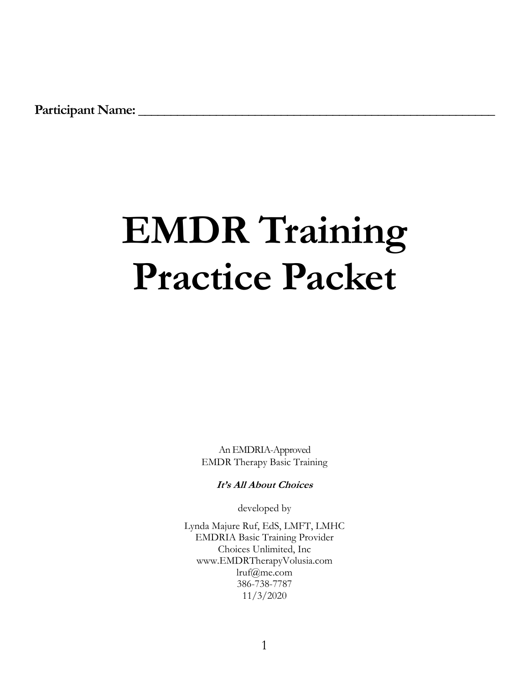Participant Name:

# **EMDR Training Practice Packet**

An EMDRIA-Approved EMDR Therapy Basic Training

**It's All About Choices**

developed by

Lynda Majure Ruf, EdS, LMFT, LMHC EMDRIA Basic Training Provider Choices Unlimited, Inc www.EMDRTherapyVolusia.com lruf@me.com 386-738-7787 11/3/2020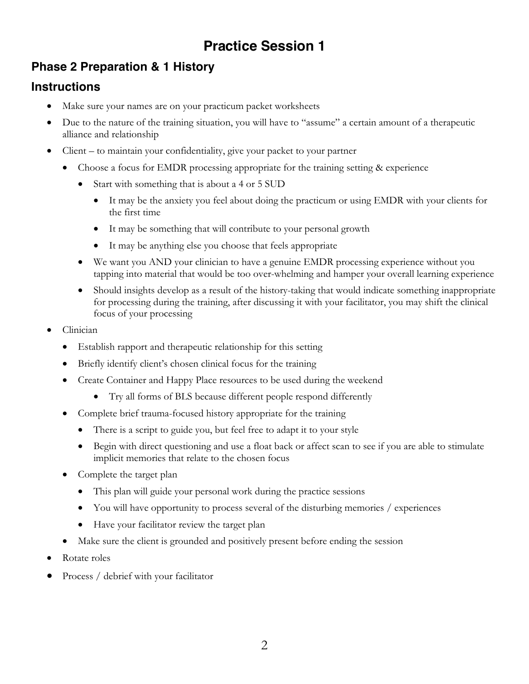# **Practice Session 1**

# **Phase 2 Preparation & 1 History**

# **Instructions**

- Make sure your names are on your practicum packet worksheets
- Due to the nature of the training situation, you will have to "assume" a certain amount of a therapeutic alliance and relationship
- Client to maintain your confidentiality, give your packet to your partner
	- Choose a focus for EMDR processing appropriate for the training setting & experience
		- Start with something that is about a 4 or 5 SUD
			- It may be the anxiety you feel about doing the practicum or using EMDR with your clients for the first time
			- It may be something that will contribute to your personal growth
			- It may be anything else you choose that feels appropriate
		- We want you AND your clinician to have a genuine EMDR processing experience without you tapping into material that would be too over-whelming and hamper your overall learning experience
		- Should insights develop as a result of the history-taking that would indicate something inappropriate for processing during the training, after discussing it with your facilitator, you may shift the clinical focus of your processing
- Clinician
	- Establish rapport and therapeutic relationship for this setting
	- Briefly identify client's chosen clinical focus for the training
	- Create Container and Happy Place resources to be used during the weekend
		- Try all forms of BLS because different people respond differently
	- Complete brief trauma-focused history appropriate for the training
		- There is a script to guide you, but feel free to adapt it to your style
		- Begin with direct questioning and use a float back or affect scan to see if you are able to stimulate implicit memories that relate to the chosen focus
	- Complete the target plan
		- This plan will guide your personal work during the practice sessions
		- You will have opportunity to process several of the disturbing memories / experiences
		- Have your facilitator review the target plan
	- Make sure the client is grounded and positively present before ending the session
- Rotate roles
- Process / debrief with your facilitator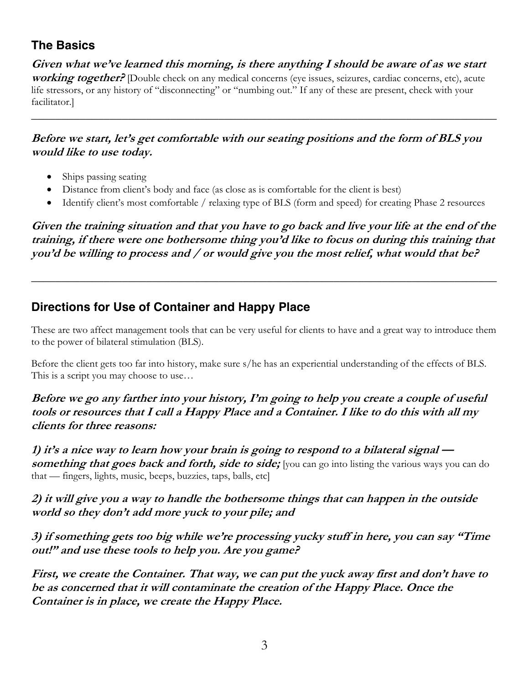# **The Basics**

**Given what we've learned this morning, is there anything I should be aware of as we start working together?** [Double check on any medical concerns (eye issues, seizures, cardiac concerns, etc), acute life stressors, or any history of "disconnecting" or "numbing out." If any of these are present, check with your facilitator.]

\_\_\_\_\_\_\_\_\_\_\_\_\_\_\_\_\_\_\_\_\_\_\_\_\_\_\_\_\_\_\_\_\_\_\_\_\_\_\_\_\_\_\_\_\_\_\_\_\_\_\_\_\_\_\_\_\_\_\_\_\_\_\_\_\_\_\_\_\_\_\_\_\_\_\_\_\_

#### **Before we start, let's get comfortable with our seating positions and the form of BLS you would like to use today.**

- Ships passing seating
- Distance from client's body and face (as close as is comfortable for the client is best)
- Identify client's most comfortable / relaxing type of BLS (form and speed) for creating Phase 2 resources

**Given the training situation and that you have to go back and live your life at the end of the training, if there were one bothersome thing you'd like to focus on during this training that you'd be willing to process and / or would give you the most relief, what would that be?** 

*\_\_\_\_\_\_\_\_\_\_\_\_\_\_\_\_\_\_\_\_\_\_\_\_\_\_\_\_\_\_\_\_\_\_\_\_\_\_\_\_\_\_\_\_\_\_\_\_\_\_\_\_\_\_\_\_\_\_\_\_\_\_\_\_\_\_\_\_\_\_\_\_\_\_\_\_\_*

# **Directions for Use of Container and Happy Place**

These are two affect management tools that can be very useful for clients to have and a great way to introduce them to the power of bilateral stimulation (BLS).

Before the client gets too far into history, make sure s/he has an experiential understanding of the effects of BLS. This is a script you may choose to use…

#### **Before we go any farther into your history, I'm going to help you create a couple of useful tools or resources that I call a Happy Place and a Container. I like to do this with all my clients for three reasons:**

**1) it's a nice way to learn how your brain is going to respond to a bilateral signal something that goes back and forth, side to side;** [you can go into listing the various ways you can do that — fingers, lights, music, beeps, buzzies, taps, balls, etc]

**2) it will give you a way to handle the bothersome things that can happen in the outside world so they don't add more yuck to your pile; and** 

**3) if something gets too big while we're processing yucky stuff in here, you can say "Time out!" and use these tools to help you. Are you game?**

**First, we create the Container. That way, we can put the yuck away first and don't have to be as concerned that it will contaminate the creation of the Happy Place. Once the Container is in place, we create the Happy Place.**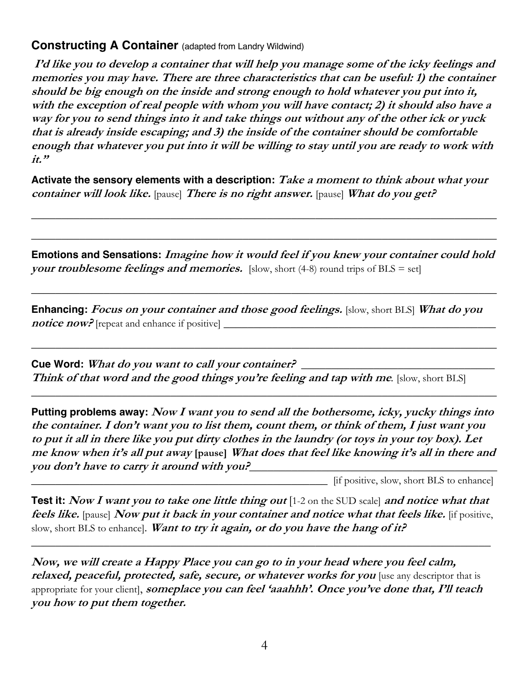## **Constructing A Container** (adapted from Landry Wildwind)

**I'd like you to develop a container that will help you manage some of the icky feelings and memories you may have. There are three characteristics that can be useful: 1) the container should be big enough on the inside and strong enough to hold whatever you put into it, with the exception of real people with whom you will have contact; 2) it should also have a way for you to send things into it and take things out without any of the other ick or yuck that is already inside escaping; and 3) the inside of the container should be comfortable enough that whatever you put into it will be willing to stay until you are ready to work with it."**

**Activate the sensory elements with a description: Take a moment to think about what your container will look like.** [pause] **There is no right answer.** [pause] **What do you get?**

\_\_\_\_\_\_\_\_\_\_\_\_\_\_\_\_\_\_\_\_\_\_\_\_\_\_\_\_\_\_\_\_\_\_\_\_\_\_\_\_\_\_\_\_\_\_\_\_\_\_\_\_\_\_\_\_\_\_\_\_\_\_\_\_\_\_\_\_\_\_\_\_\_\_\_\_\_

\_\_\_\_\_\_\_\_\_\_\_\_\_\_\_\_\_\_\_\_\_\_\_\_\_\_\_\_\_\_\_\_\_\_\_\_\_\_\_\_\_\_\_\_\_\_\_\_\_\_\_\_\_\_\_\_\_\_\_\_\_\_\_\_\_\_\_\_\_\_\_\_\_\_\_\_\_

**Emotions and Sensations: Imagine how it would feel if you knew your container could hold your troublesome feelings and memories.** [slow, short  $(4-8)$  round trips of BLS = set]

\_\_\_\_\_\_\_\_\_\_\_\_\_\_\_\_\_\_\_\_\_\_\_\_\_\_\_\_\_\_\_\_\_\_\_\_\_\_\_\_\_\_\_\_\_\_\_\_\_\_\_\_\_\_\_\_\_\_\_\_\_\_\_\_\_\_\_\_\_\_\_\_\_\_\_\_\_

\_\_\_\_\_\_\_\_\_\_\_\_\_\_\_\_\_\_\_\_\_\_\_\_\_\_\_\_\_\_\_\_\_\_\_\_\_\_\_\_\_\_\_\_\_\_\_\_\_\_\_\_\_\_\_\_\_\_\_\_\_\_\_\_\_\_\_\_\_\_\_\_\_\_\_\_\_

*\_\_\_\_\_\_\_\_\_\_\_\_\_\_\_\_\_\_\_\_\_\_\_\_\_\_\_\_\_\_\_\_\_\_\_\_\_\_\_\_\_\_\_\_\_\_\_\_\_\_\_\_\_\_\_\_\_\_\_\_\_\_\_\_\_\_\_\_\_\_\_\_\_\_\_\_\_*

**Enhancing: Focus on your container and those good feelings.** [slow, short BLS] **What do you notice now?** [repeat and enhance if positive]

**Cue Word: What do you want to call your container?** \_\_\_\_\_\_\_\_\_\_\_\_\_\_\_\_\_\_\_\_\_\_\_\_\_\_\_\_\_\_\_\_ **Think of that word and the good things you're feeling and tap with me***.* [slow, short BLS]

**Putting problems away: Now I want you to send all the bothersome, icky, yucky things into the container. I don't want you to list them, count them, or think of them, I just want you to put it all in there like you put dirty clothes in the laundry (or toys in your toy box). Let me know when it's all put away [pause] What does that feel like knowing it's all in there and you don't have to carry it around with you?***\_\_\_\_\_\_\_\_\_\_\_\_\_\_\_\_\_\_\_\_\_\_\_\_\_\_\_\_\_\_\_\_\_\_\_\_\_\_\_\_\_*

*\_\_\_\_\_\_\_\_\_\_\_\_\_\_\_\_\_\_\_\_\_\_\_\_\_\_\_\_\_\_\_\_\_\_\_\_\_\_\_\_\_\_\_\_\_\_\_\_\_* [if positive, slow, short BLS to enhance]

**Test it:** Now I want you to take one little thing out [1-2 on the SUD scale] and notice what that **feels like.** [pause] **Now put it back in your container and notice what that feels like.** [if positive, slow, short BLS to enhance]. **Want to try it again, or do you have the hang of it?**

*\_\_\_\_\_\_\_\_\_\_\_\_\_\_\_\_\_\_\_\_\_\_\_\_\_\_\_\_\_\_\_\_\_\_\_\_\_\_\_\_\_\_\_\_\_\_\_\_\_\_\_\_\_\_\_\_\_\_\_\_\_\_\_\_\_\_\_\_\_\_\_\_\_\_\_\_*

**Now, we will create a Happy Place you can go to in your head where you feel calm, relaxed, peaceful, protected, safe, secure, or whatever works for you** [use any descriptor that is appropriate for your client], **someplace you can feel 'aaahhh'. Once you've done that, I'll teach you how to put them together.**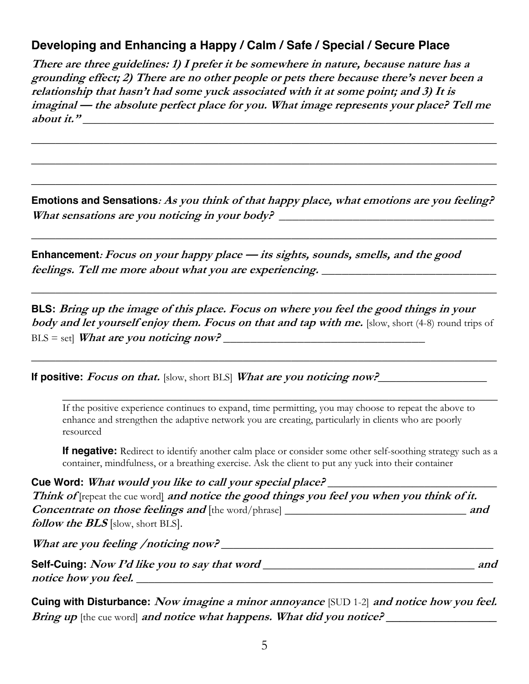# **Developing and Enhancing a Happy / Calm / Safe / Special / Secure Place**

**There are three guidelines: 1) I prefer it be somewhere in nature, because nature has a grounding effect; 2) There are no other people or pets there because there's never been a relationship that hasn't had some yuck associated with it at some point; and 3) It is imaginal — the absolute perfect place for you. What image represents your place? Tell me about it."** \_\_\_\_\_\_\_\_\_\_\_\_\_\_\_\_\_\_\_\_\_\_\_\_\_\_\_\_\_\_\_\_\_\_\_\_\_\_\_\_\_\_\_\_\_\_\_\_\_\_\_\_\_\_\_\_\_\_\_\_\_\_\_\_\_\_\_\_

\_\_\_\_\_\_\_\_\_\_\_\_\_\_\_\_\_\_\_\_\_\_\_\_\_\_\_\_\_\_\_\_\_\_\_\_\_\_\_\_\_\_\_\_\_\_\_\_\_\_\_\_\_\_\_\_\_\_\_\_\_\_\_\_\_\_\_\_\_\_\_\_\_\_\_\_\_

\_\_\_\_\_\_\_\_\_\_\_\_\_\_\_\_\_\_\_\_\_\_\_\_\_\_\_\_\_\_\_\_\_\_\_\_\_\_\_\_\_\_\_\_\_\_\_\_\_\_\_\_\_\_\_\_\_\_\_\_\_\_\_\_\_\_\_\_\_\_\_\_\_\_\_\_\_

\_\_\_\_\_\_\_\_\_\_\_\_\_\_\_\_\_\_\_\_\_\_\_\_\_\_\_\_\_\_\_\_\_\_\_\_\_\_\_\_\_\_\_\_\_\_\_\_\_\_\_\_\_\_\_\_\_\_\_\_\_\_\_\_\_\_\_\_\_\_\_\_\_\_\_\_\_

**Emotions and Sensations: As you think of that happy place, what emotions are you feeling? What sensations are you noticing in your body? \_\_\_\_\_\_\_\_\_\_\_\_\_\_\_\_\_\_\_\_\_\_\_\_\_\_\_\_\_\_\_\_**

*\_\_\_\_\_\_\_\_\_\_\_\_\_\_\_\_\_\_\_\_\_\_\_\_\_\_\_\_\_\_\_\_\_\_\_\_\_\_\_\_\_\_\_\_\_\_\_\_\_\_\_\_\_\_\_\_\_\_\_\_\_\_\_\_\_\_\_\_\_\_\_\_\_\_\_\_\_*

**Enhancement: Focus on your happy place — its sights, sounds, smells, and the good feelings. Tell me more about what you are experiencing. \_\_\_\_\_\_\_\_\_\_\_\_\_\_\_\_\_\_\_\_\_\_\_\_\_\_**

**BLS: Bring up the image of this place. Focus on where you feel the good things in your body and let yourself enjoy them. Focus on that and tap with me.** [slow, short (4-8) round trips of BLS = set] **What are you noticing now? \_\_\_\_\_\_\_\_\_\_\_\_\_\_\_\_\_\_\_\_\_\_\_\_\_\_\_\_\_\_**

*\_\_\_\_\_\_\_\_\_\_\_\_\_\_\_\_\_\_\_\_\_\_\_\_\_\_\_\_\_\_\_\_\_\_\_\_\_\_\_\_\_\_\_\_\_\_\_\_\_\_\_\_\_\_\_\_\_\_\_\_\_\_\_\_\_\_\_\_\_\_\_\_\_\_\_\_\_*

*\_\_\_\_\_\_\_\_\_\_\_\_\_\_\_\_\_\_\_\_\_\_\_\_\_\_\_\_\_\_\_\_\_\_\_\_\_\_\_\_\_\_\_\_\_\_\_\_\_\_\_\_\_\_\_\_\_\_\_\_\_\_\_\_\_\_\_\_\_\_\_\_\_\_\_\_\_*

**If positive: Focus on that.** [slow, short BLS] **What are you noticing now?***\_*\_\_\_\_\_\_\_\_\_\_\_\_\_\_\_\_\_

If the positive experience continues to expand, time permitting, you may choose to repeat the above to enhance and strengthen the adaptive network you are creating, particularly in clients who are poorly resourced

**If negative:** Redirect to identify another calm place or consider some other self-soothing strategy such as a container, mindfulness, or a breathing exercise. Ask the client to put any yuck into their container

*\_\_\_\_\_\_\_\_\_\_\_\_\_\_\_\_\_\_\_\_\_\_\_\_\_\_\_\_\_\_\_\_\_\_\_\_\_\_\_\_\_\_\_\_\_\_\_\_\_\_\_\_\_\_\_\_\_\_\_\_\_\_\_\_\_\_\_\_\_\_\_\_*

**Cue Word: What would you like to call your special place?** *\_\_\_\_\_\_\_\_\_\_\_\_\_\_\_\_\_\_\_\_\_\_\_\_\_\_\_\_* Think of [repeat the cue word] and notice the good things you feel you when you think of it. **Concentrate on those feelings and** [the word/phrase] *\_\_\_\_\_\_\_\_\_\_\_\_\_\_\_\_\_\_\_\_\_\_\_\_\_\_\_\_\_\_* **and follow the BLS** [slow, short BLS].

**What are you feeling /noticing now?** *\_\_\_\_\_\_\_\_\_\_\_\_\_\_\_\_\_\_\_\_\_\_\_\_\_\_\_\_\_\_\_\_\_\_\_\_\_\_\_\_\_\_\_\_\_*

**Self-Cuing: Now I'd like you to say that word** *\_\_\_\_\_\_\_\_\_\_\_\_\_\_\_\_\_\_\_\_\_\_\_\_\_\_\_\_\_\_\_\_\_\_\_* **and**  notice how you feel.

**Cuing with Disturbance: Now imagine a minor annoyance** [SUD 1-2] **and notice how you feel. Bring up** [the cue word] **and notice what happens. What did you notice?**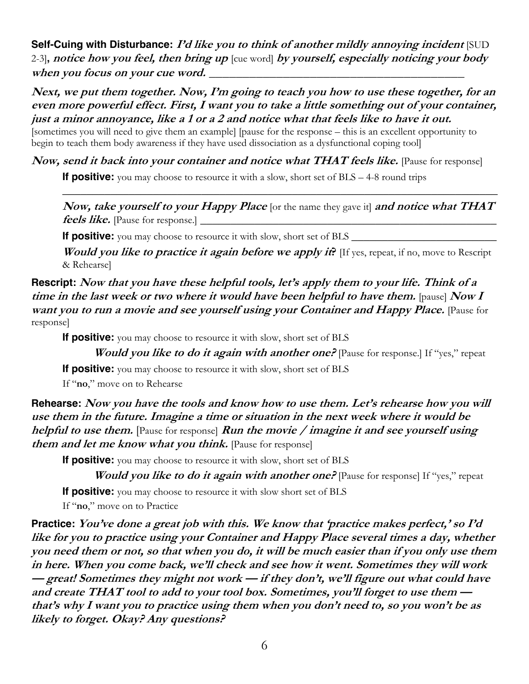**Self-Cuing with Disturbance: I'd like you to think of another mildly annoying incident** [SUD] 2-3]**, notice how you feel, then bring up** [cue word] **by yourself, especially noticing your body**  when you focus on your cue word.

**Next, we put them together. Now, I'm going to teach you how to use these together, for an even more powerful effect. First, I want you to take a little something out of your container, just a minor annoyance, like a 1 or a 2 and notice what that feels like to have it out.**

[sometimes you will need to give them an example] [pause for the response – this is an excellent opportunity to begin to teach them body awareness if they have used dissociation as a dysfunctional coping tool]

**Now, send it back into your container and notice what THAT feels like.** Pause for response **If positive:** you may choose to resource it with a slow, short set of BLS – 4-8 round trips

**Now, take yourself to your Happy Place** [or the name they gave it] **and notice what THAT feels like.** [Pause for response.] \_\_\_\_\_\_\_\_\_\_\_\_\_\_\_\_\_\_\_\_\_\_\_\_\_\_\_\_\_\_\_\_\_\_\_\_\_\_\_\_\_\_\_\_\_\_\_\_\_

\_\_\_\_\_\_\_\_\_\_\_\_\_\_\_\_\_\_\_\_\_\_\_\_\_\_\_\_\_\_\_\_\_\_\_\_\_\_\_\_\_\_\_\_\_\_\_\_\_\_\_\_\_\_\_\_\_\_\_\_\_\_\_\_\_\_\_\_\_\_\_\_

**If positive:** you may choose to resource it with slow, short set of BLS

**Would you like to practice it again before we apply it?** If yes, repeat, if no, move to Rescript & Rehearse]

**Rescript: Now that you have these helpful tools, let's apply them to your life. Think of a time in the last week or two where it would have been helpful to have them.** [pause] **Now I want you to run a movie and see yourself using your Container and Happy Place.** [Pause for response]

**If positive:** you may choose to resource it with slow, short set of BLS

**Would you like to do it again with another one?** Pause for response. If "yes," repeat

**If positive:** you may choose to resource it with slow, short set of BLS

If "**no**," move on to Rehearse

**Rehearse: Now you have the tools and know how to use them. Let's rehearse how you will use them in the future. Imagine a time or situation in the next week where it would be helpful to use them.** [Pause for response] **Run the movie / imagine it and see yourself using**  *them and let me know what you think.* Pause for response

**If positive:** you may choose to resource it with slow, short set of BLS

*Would you like to do it again with another one?* **Pause for responsel If "yes," repeat** 

**If positive:** you may choose to resource it with slow short set of BLS

If "**no**," move on to Practice

**Practice: You've done a great job with this. We know that 'practice makes perfect,' so I'd like for you to practice using your Container and Happy Place several times a day, whether you need them or not, so that when you do, it will be much easier than if you only use them in here. When you come back, we'll check and see how it went. Sometimes they will work — great! Sometimes they might not work — if they don't, we'll figure out what could have and create THAT tool to add to your tool box. Sometimes, you'll forget to use them that's why I want you to practice using them when you don't need to, so you won't be as likely to forget. Okay? Any questions?**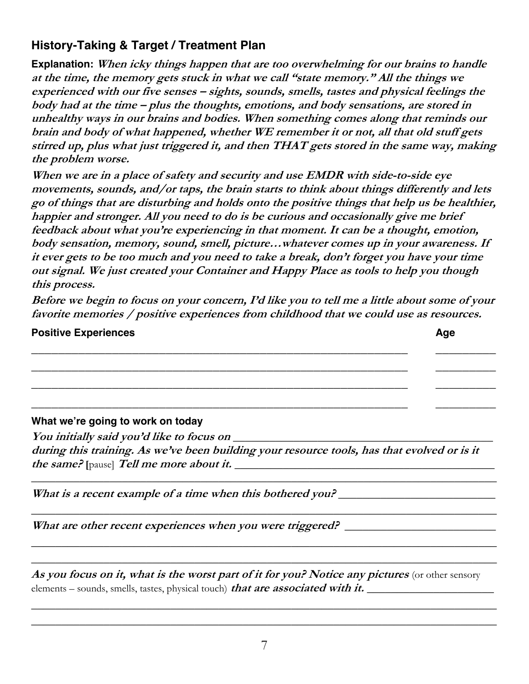# **History-Taking & Target / Treatment Plan**

**Explanation: When icky things happen that are too overwhelming for our brains to handle at the time, the memory gets stuck in what we call "state memory." All the things we experienced with our five senses – sights, sounds, smells, tastes and physical feelings the body had at the time – plus the thoughts, emotions, and body sensations, are stored in unhealthy ways in our brains and bodies. When something comes along that reminds our brain and body of what happened, whether WE remember it or not, all that old stuff gets stirred up, plus what just triggered it, and then THAT gets stored in the same way, making the problem worse.** 

**When we are in a place of safety and security and use EMDR with side-to-side eye movements, sounds, and/or taps, the brain starts to think about things differently and lets go of things that are disturbing and holds onto the positive things that help us be healthier, happier and stronger. All you need to do is be curious and occasionally give me brief feedback about what you're experiencing in that moment. It can be a thought, emotion, body sensation, memory, sound, smell, picture…whatever comes up in your awareness. If it ever gets to be too much and you need to take a break, don't forget you have your time out signal. We just created your Container and Happy Place as tools to help you though this process.** 

**Before we begin to focus on your concern, I'd like you to tell me a little about some of your favorite memories / positive experiences from childhood that we could use as resources.** 

\_\_\_\_\_\_\_\_\_\_\_\_\_\_\_\_\_\_\_\_\_\_\_\_\_\_\_\_\_\_\_\_\_\_\_\_\_\_\_\_\_\_\_\_\_\_\_\_\_\_\_\_\_\_\_\_ \_\_\_\_\_\_\_\_\_ \_\_\_\_\_\_\_\_\_\_\_\_\_\_\_\_\_\_\_\_\_\_\_\_\_\_\_\_\_\_\_\_\_\_\_\_\_\_\_\_\_\_\_\_\_\_\_\_\_\_\_\_\_\_\_\_ \_\_\_\_\_\_\_\_\_ \_\_\_\_\_\_\_\_\_\_\_\_\_\_\_\_\_\_\_\_\_\_\_\_\_\_\_\_\_\_\_\_\_\_\_\_\_\_\_\_\_\_\_\_\_\_\_\_\_\_\_\_\_\_\_\_ \_\_\_\_\_\_\_\_\_

\_\_\_\_\_\_\_\_\_\_\_\_\_\_\_\_\_\_\_\_\_\_\_\_\_\_\_\_\_\_\_\_\_\_\_\_\_\_\_\_\_\_\_\_\_\_\_\_\_\_\_\_\_\_\_\_ \_\_\_\_\_\_\_\_\_

#### **Positive Experiences Age**

#### **What we're going to work on today**

**You initially said you'd like to focus on** *\_\_\_\_\_\_\_\_\_\_\_\_\_\_\_\_\_\_\_\_\_\_\_\_\_\_\_\_\_\_\_\_\_\_\_\_\_\_\_\_\_\_\_* **during this training. As we've been building your resource tools, has that evolved or is it the same? [**pause] **Tell me more about it.** *\_\_\_\_\_\_\_\_\_\_\_\_\_\_\_\_\_\_\_\_\_\_\_\_\_\_\_\_\_\_\_\_\_\_\_\_\_\_\_\_\_\_\_* 

*\_\_\_\_\_\_\_\_\_\_\_\_\_\_\_\_\_\_\_\_\_\_\_\_\_\_\_\_\_\_\_\_\_\_\_\_\_\_\_\_\_\_\_\_\_\_\_\_\_\_\_\_\_\_\_\_\_\_\_\_\_\_\_\_\_\_\_\_\_\_\_\_\_\_\_\_\_*

*\_\_\_\_\_\_\_\_\_\_\_\_\_\_\_\_\_\_\_\_\_\_\_\_\_\_\_\_\_\_\_\_\_\_\_\_\_\_\_\_\_\_\_\_\_\_\_\_\_\_\_\_\_\_\_\_\_\_\_\_\_\_\_\_\_\_\_\_\_\_\_\_\_\_\_\_\_*

*\_\_\_\_\_\_\_\_\_\_\_\_\_\_\_\_\_\_\_\_\_\_\_\_\_\_\_\_\_\_\_\_\_\_\_\_\_\_\_\_\_\_\_\_\_\_\_\_\_\_\_\_\_\_\_\_\_\_\_\_\_\_\_\_\_\_\_\_\_\_\_\_\_\_\_\_\_ \_\_\_\_\_\_\_\_\_\_\_\_\_\_\_\_\_\_\_\_\_\_\_\_\_\_\_\_\_\_\_\_\_\_\_\_\_\_\_\_\_\_\_\_\_\_\_\_\_\_\_\_\_\_\_\_\_\_\_\_\_\_\_\_\_\_\_\_\_\_\_\_\_\_\_\_\_*

What is a recent example of a time when this bothered you? \_\_\_\_\_\_\_\_\_\_\_\_\_\_\_\_\_\_\_\_\_\_

What are other recent experiences when you were triggered? \_\_\_\_\_\_\_\_\_\_\_\_\_\_\_\_\_\_\_\_\_\_

**As you focus on it, what is the worst part of it for you? Notice any pictures** (or other sensory elements – sounds, smells, tastes, physical touch) **that are associated with it.** *\_\_\_\_\_\_\_\_\_\_\_\_\_\_\_\_\_\_\_\_\_\_\_* 

*\_\_\_\_\_\_\_\_\_\_\_\_\_\_\_\_\_\_\_\_\_\_\_\_\_\_\_\_\_\_\_\_\_\_\_\_\_\_\_\_\_\_\_\_\_\_\_\_\_\_\_\_\_\_\_\_\_\_\_\_\_\_\_\_\_\_\_\_\_\_\_\_\_\_\_\_\_ \_\_\_\_\_\_\_\_\_\_\_\_\_\_\_\_\_\_\_\_\_\_\_\_\_\_\_\_\_\_\_\_\_\_\_\_\_\_\_\_\_\_\_\_\_\_\_\_\_\_\_\_\_\_\_\_\_\_\_\_\_\_\_\_\_\_\_\_\_\_\_\_\_\_\_\_\_*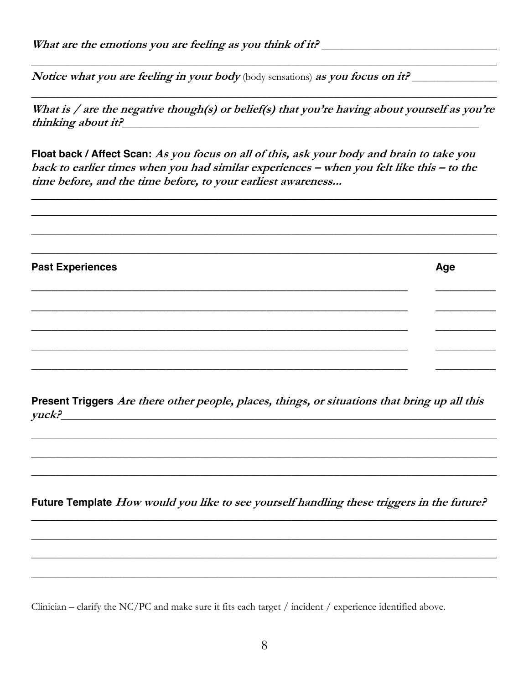Notice what you are feeling in your body (body sensations) as you focus on it?

What is / are the negative though(s) or belief(s) that you're having about yourself as you're thinking about it?

Float back / Affect Scan: As you focus on all of this, ask your body and brain to take you back to earlier times when you had similar experiences - when you felt like this - to the time before, and the time before, to your earliest awareness...

**Past Experiences** Age

Present Triggers Are there other people, places, things, or situations that bring up all this yuck?

Future Template How would you like to see yourself handling these triggers in the future?

Clinician – clarify the NC/PC and make sure it fits each target / incident / experience identified above.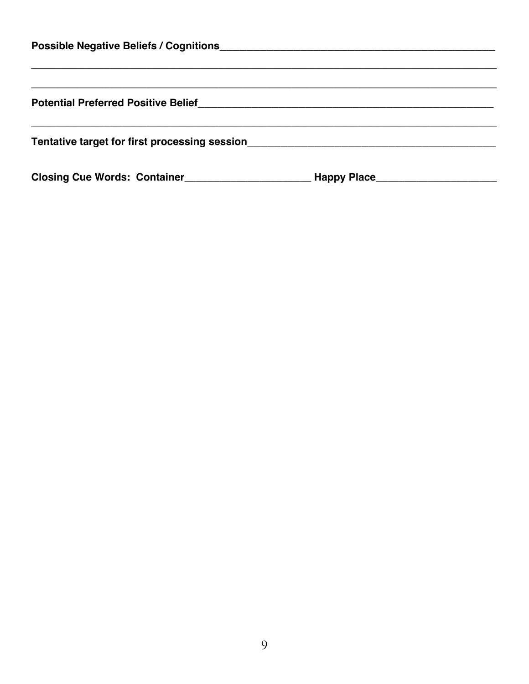| <b>Possible Negative Beliefs / Cognitions</b> |             |  |  |  |  |  |  |
|-----------------------------------------------|-------------|--|--|--|--|--|--|
|                                               |             |  |  |  |  |  |  |
| <b>Potential Preferred Positive Belief</b>    |             |  |  |  |  |  |  |
| Tentative target for first processing session |             |  |  |  |  |  |  |
| <b>Closing Cue Words: Container</b>           | Happy Place |  |  |  |  |  |  |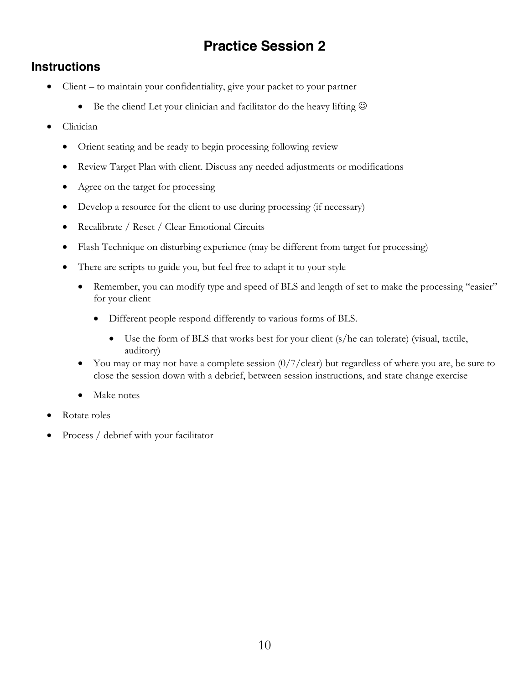# **Practice Session 2**

# **Instructions**

- Client to maintain your confidentiality, give your packet to your partner
	- Be the client! Let your clinician and facilitator do the heavy lifting  $\odot$
- Clinician
	- Orient seating and be ready to begin processing following review
	- Review Target Plan with client. Discuss any needed adjustments or modifications
	- Agree on the target for processing
	- Develop a resource for the client to use during processing (if necessary)
	- Recalibrate / Reset / Clear Emotional Circuits
	- Flash Technique on disturbing experience (may be different from target for processing)
	- There are scripts to guide you, but feel free to adapt it to your style
		- Remember, you can modify type and speed of BLS and length of set to make the processing "easier" for your client
			- Different people respond differently to various forms of BLS.
				- Use the form of BLS that works best for your client (s/he can tolerate) (visual, tactile, auditory)
		- You may or may not have a complete session  $\frac{0}{7}$  clear) but regardless of where you are, be sure to close the session down with a debrief, between session instructions, and state change exercise
		- Make notes
- Rotate roles
- Process / debrief with your facilitator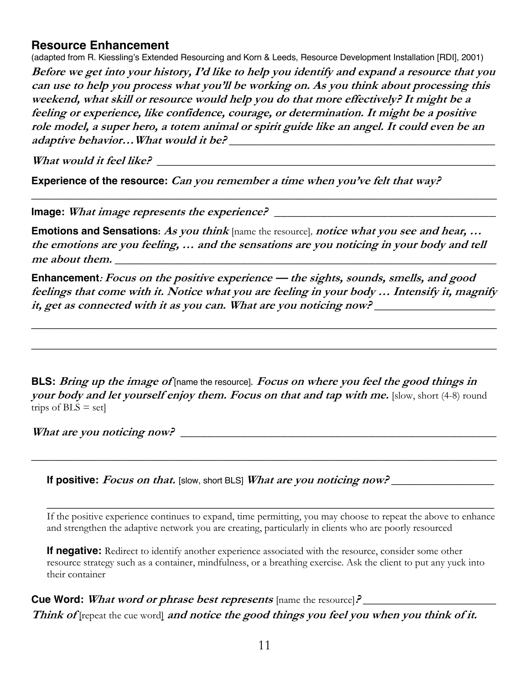#### **Resource Enhancement**

(adapted from R. Kiessling's Extended Resourcing and Korn & Leeds, Resource Development Installation [RDI], 2001) **Before we get into your history, I'd like to help you identify and expand a resource that you can use to help you process what you'll be working on. As you think about processing this weekend, what skill or resource would help you do that more effectively? It might be a feeling or experience, like confidence, courage, or determination. It might be a positive role model, a super hero, a totem animal or spirit guide like an angel. It could even be an adaptive behavior…What would it be?** *\_\_\_\_\_\_\_\_\_\_\_\_\_\_\_\_\_\_\_\_\_\_\_\_\_\_\_\_\_\_\_\_\_\_\_\_\_\_\_\_\_\_\_\_*

*What would it feel like?*  $\blacksquare$ 

**Experience of the resource: Can you remember a time when you've felt that way?**

**Image: What image represents the experience? \_\_\_\_\_\_\_\_\_\_\_\_\_\_\_\_\_\_\_\_\_\_\_\_\_\_\_\_\_\_\_\_\_**

**Emotions and Sensations: As you think** [name the resource]*,* **notice what you see and hear, … the emotions are you feeling, … and the sensations are you noticing in your body and tell**  me about them.

\_\_\_\_\_\_\_\_\_\_\_\_\_\_\_\_\_\_\_\_\_\_\_\_\_\_\_\_\_\_\_\_\_\_\_\_\_\_\_\_\_\_\_\_\_\_\_\_\_\_\_\_\_\_\_\_\_\_\_\_\_\_\_\_\_\_\_\_\_\_\_\_\_\_\_\_\_

**Enhancement: Focus on the positive experience — the sights, sounds, smells, and good feelings that come with it. Notice what you are feeling in your body … Intensify it, magnify it, get as connected with it as you can. What are you noticing now?** *\_\_\_\_\_\_\_\_\_\_\_\_\_\_\_\_\_\_\_\_*

*\_\_\_\_\_\_\_\_\_\_\_\_\_\_\_\_\_\_\_\_\_\_\_\_\_\_\_\_\_\_\_\_\_\_\_\_\_\_\_\_\_\_\_\_\_\_\_\_\_\_\_\_\_\_\_\_\_\_\_\_\_\_\_\_\_\_\_\_\_\_\_\_\_\_\_\_\_*

*\_\_\_\_\_\_\_\_\_\_\_\_\_\_\_\_\_\_\_\_\_\_\_\_\_\_\_\_\_\_\_\_\_\_\_\_\_\_\_\_\_\_\_\_\_\_\_\_\_\_\_\_\_\_\_\_\_\_\_\_\_\_\_\_\_\_\_\_\_\_\_\_\_\_\_\_\_*

**BLS: Bring up the image of** [name the resource]*.* **Focus on where you feel the good things in your body and let yourself enjoy them. Focus on that and tap with me.** [slow, short (4-8) round trips of  $BLS = set$ 

*\_\_\_\_\_\_\_\_\_\_\_\_\_\_\_\_\_\_\_\_\_\_\_\_\_\_\_\_\_\_\_\_\_\_\_\_\_\_\_\_\_\_\_\_\_\_\_\_\_\_\_\_\_\_\_\_\_\_\_\_\_\_\_\_\_\_\_\_\_\_\_\_\_\_\_\_\_*

What are you noticing now?

**If positive: Focus on that.** [slow, short BLS] **What are you noticing now?** *\_*\_\_\_\_\_\_\_\_\_\_\_\_\_\_\_\_

If the positive experience continues to expand, time permitting, you may choose to repeat the above to enhance and strengthen the adaptive network you are creating, particularly in clients who are poorly resourced

*\_\_\_\_\_\_\_\_\_\_\_\_\_\_\_\_\_\_\_\_\_\_\_\_\_\_\_\_\_\_\_\_\_\_\_\_\_\_\_\_\_\_\_\_\_\_\_\_\_\_\_\_\_\_\_\_\_\_\_\_\_\_\_\_\_\_\_\_\_\_\_\_\_\_* 

**If negative:** Redirect to identify another experience associated with the resource, consider some other resource strategy such as a container, mindfulness, or a breathing exercise. Ask the client to put any yuck into their container

**Cue Word:** *What word or phrase best represents* [name the resource]? \_\_\_\_\_\_\_\_\_\_\_ Think of [repeat the cue word] and notice the good things you feel you when you think of it.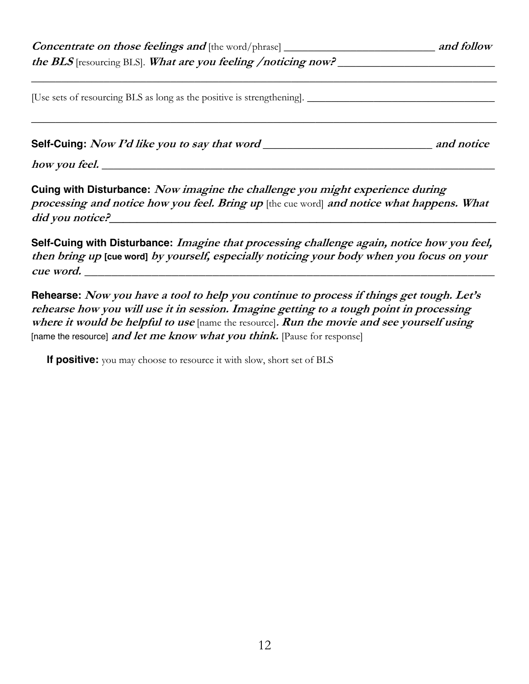| <b>Concentrate on those feelings and [the word/phrase]</b> $\blacksquare$ |  |  |  |  |  |
|---------------------------------------------------------------------------|--|--|--|--|--|
| the BLS resourcing BLS. What are you feeling /noticing now?               |  |  |  |  |  |
|                                                                           |  |  |  |  |  |
| [Use sets of resourcing BLS as long as the positive is strengthening].    |  |  |  |  |  |

*\_\_\_\_\_\_\_\_\_\_\_\_\_\_\_\_\_\_\_\_\_\_\_\_\_\_\_\_\_\_\_\_\_\_\_\_\_\_\_\_\_\_\_\_\_\_\_\_\_\_\_\_\_\_\_\_\_\_\_\_\_\_\_\_\_\_\_\_\_\_\_\_\_\_\_\_\_*

**Self-Cuing: Now I'd like you to say that word** *\_\_\_\_\_\_\_\_\_\_\_\_\_\_\_\_\_\_\_\_\_\_\_\_\_\_\_\_* **and notice** 

**how you feel.** *\_\_\_\_\_\_\_\_\_\_\_\_\_\_\_\_\_\_\_\_\_\_\_\_\_\_\_\_\_\_\_\_\_\_\_\_\_\_\_\_\_\_\_\_\_\_\_\_\_\_\_\_\_\_\_\_\_\_\_\_\_\_\_\_\_*

**Cuing with Disturbance: Now imagine the challenge you might experience during processing and notice how you feel. Bring up** [the cue word] **and notice what happens. What**  did you notice?

**Self-Cuing with Disturbance: Imagine that processing challenge again, notice how you feel, then bring up [cue word] by yourself, especially noticing your body when you focus on your**  *cue word.* $\blacksquare$ 

**Rehearse: Now you have a tool to help you continue to process if things get tough. Let's rehearse how you will use it in session. Imagine getting to a tough point in processing where it would be helpful to use** [name the resource]**. Run the movie and see yourself using**  [name the resource] *and let me know what you think*. [Pause for response]

**If positive:** you may choose to resource it with slow, short set of BLS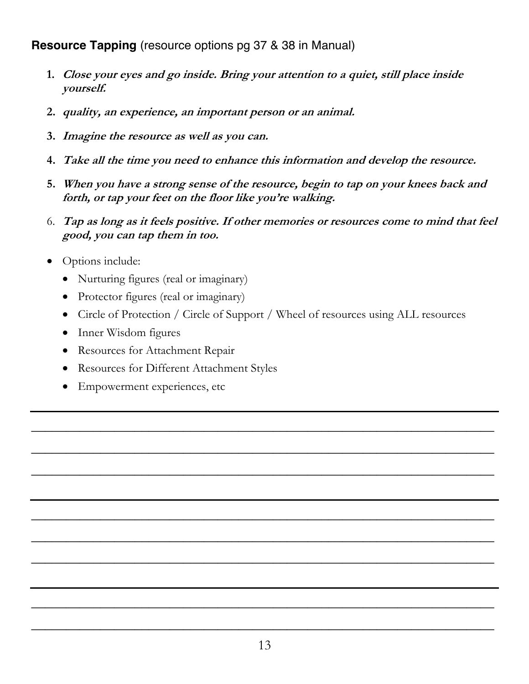**Resource Tapping** (resource options pg 37 & 38 in Manual)

- **1. Close your eyes and go inside. Bring your attention to a quiet, still place inside yourself.**
- **2. quality, an experience, an important person or an animal.**
- **3. Imagine the resource as well as you can.**
- **4. Take all the time you need to enhance this information and develop the resource.**
- **5. When you have a strong sense of the resource, begin to tap on your knees back and forth, or tap your feet on the floor like you're walking.**
- 6. **Tap as long as it feels positive. If other memories or resources come to mind that feel good, you can tap them in too.**
- Options include:
	- Nurturing figures (real or imaginary)
	- Protector figures (real or imaginary)
	- Circle of Protection / Circle of Support / Wheel of resources using ALL resources

\_\_\_\_\_\_\_\_\_\_\_\_\_\_\_\_\_\_\_\_\_\_\_\_\_\_\_\_\_\_\_\_\_\_\_\_\_\_\_\_\_\_\_\_\_\_\_\_\_\_\_\_\_\_\_\_\_\_\_\_\_\_\_\_\_\_\_

\_\_\_\_\_\_\_\_\_\_\_\_\_\_\_\_\_\_\_\_\_\_\_\_\_\_\_\_\_\_\_\_\_\_\_\_\_\_\_\_\_\_\_\_\_\_\_\_\_\_\_\_\_\_\_\_\_\_\_\_\_\_\_\_\_\_\_

\_\_\_\_\_\_\_\_\_\_\_\_\_\_\_\_\_\_\_\_\_\_\_\_\_\_\_\_\_\_\_\_\_\_\_\_\_\_\_\_\_\_\_\_\_\_\_\_\_\_\_\_\_\_\_\_\_\_\_\_\_\_\_\_\_\_\_

\_\_\_\_\_\_\_\_\_\_\_\_\_\_\_\_\_\_\_\_\_\_\_\_\_\_\_\_\_\_\_\_\_\_\_\_\_\_\_\_\_\_\_\_\_\_\_\_\_\_\_\_\_\_\_\_\_\_\_\_\_\_\_\_\_\_\_

\_\_\_\_\_\_\_\_\_\_\_\_\_\_\_\_\_\_\_\_\_\_\_\_\_\_\_\_\_\_\_\_\_\_\_\_\_\_\_\_\_\_\_\_\_\_\_\_\_\_\_\_\_\_\_\_\_\_\_\_\_\_\_\_\_\_\_

\_\_\_\_\_\_\_\_\_\_\_\_\_\_\_\_\_\_\_\_\_\_\_\_\_\_\_\_\_\_\_\_\_\_\_\_\_\_\_\_\_\_\_\_\_\_\_\_\_\_\_\_\_\_\_\_\_\_\_\_\_\_\_\_\_\_\_

\_\_\_\_\_\_\_\_\_\_\_\_\_\_\_\_\_\_\_\_\_\_\_\_\_\_\_\_\_\_\_\_\_\_\_\_\_\_\_\_\_\_\_\_\_\_\_\_\_\_\_\_\_\_\_\_\_\_\_\_\_\_\_\_\_\_\_

\_\_\_\_\_\_\_\_\_\_\_\_\_\_\_\_\_\_\_\_\_\_\_\_\_\_\_\_\_\_\_\_\_\_\_\_\_\_\_\_\_\_\_\_\_\_\_\_\_\_\_\_\_\_\_\_\_\_\_\_\_\_\_\_\_\_\_

- Inner Wisdom figures
- Resources for Attachment Repair
- Resources for Different Attachment Styles
- Empowerment experiences, etc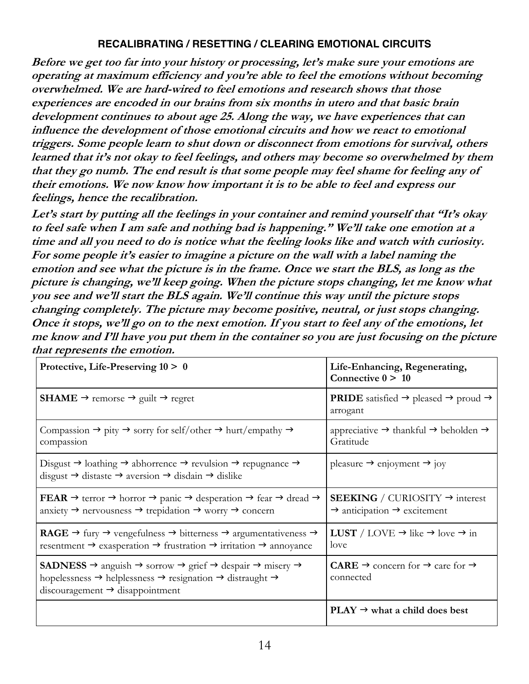#### **RECALIBRATING / RESETTING / CLEARING EMOTIONAL CIRCUITS**

**Before we get too far into your history or processing, let's make sure your emotions are operating at maximum efficiency and you're able to feel the emotions without becoming overwhelmed. We are hard-wired to feel emotions and research shows that those experiences are encoded in our brains from six months in utero and that basic brain development continues to about age 25. Along the way, we have experiences that can influence the development of those emotional circuits and how we react to emotional triggers. Some people learn to shut down or disconnect from emotions for survival, others learned that it's not okay to feel feelings, and others may become so overwhelmed by them that they go numb. The end result is that some people may feel shame for feeling any of their emotions. We now know how important it is to be able to feel and express our feelings, hence the recalibration.**

**Let's start by putting all the feelings in your container and remind yourself that "It's okay to feel safe when I am safe and nothing bad is happening." We'll take one emotion at <sup>a</sup> time and all you need to do is notice what the feeling looks like and watch with curiosity. For some people it's easier to imagine <sup>a</sup> picture on the wall with <sup>a</sup> label naming the emotion and see what the picture is in the frame. Once we start the BLS, as long as the picture is changing, we'll keep going. When the picture stops changing, let me know what you see and we'll start the BLS again. We'll continue this way until the picture stops changing completely. The picture may become positive, neutral, or just stops changing.** Once it stops, we'll go on to the next emotion. If you start to feel any of the emotions, let **me know and I'll have you put them in the container so you are just focusing on the picture that represents the emotion.**

| Protective, Life-Preserving $10 > 0$                                                                                                                                                                                                                                                              | Life-Enhancing, Regenerating,<br>Connective $0 > 10$                                                     |
|---------------------------------------------------------------------------------------------------------------------------------------------------------------------------------------------------------------------------------------------------------------------------------------------------|----------------------------------------------------------------------------------------------------------|
| <b>SHAME</b> → remorse → guilt → regret                                                                                                                                                                                                                                                           | <b>PRIDE</b> satisfied $\rightarrow$ pleased $\rightarrow$ proud $\rightarrow$<br>arrogant               |
| Compassion $\rightarrow$ pity $\rightarrow$ sorry for self/other $\rightarrow$ hurt/empathy $\rightarrow$<br>compassion                                                                                                                                                                           | appreciative $\rightarrow$ thankful $\rightarrow$ beholden $\rightarrow$<br>Gratitude                    |
| Disgust $\rightarrow$ loathing $\rightarrow$ abhorrence $\rightarrow$ revulsion $\rightarrow$ repugnance $\rightarrow$<br>disgust $\rightarrow$ distaste $\rightarrow$ aversion $\rightarrow$ disdain $\rightarrow$ dislike                                                                       | pleasure $\rightarrow$ enjoyment $\rightarrow$ joy                                                       |
| FEAR $\rightarrow$ terror $\rightarrow$ horror $\rightarrow$ panic $\rightarrow$ desperation $\rightarrow$ fear $\rightarrow$ dread $\rightarrow$<br>anxiety $\rightarrow$ nervousness $\rightarrow$ trepidation $\rightarrow$ worry $\rightarrow$ concern                                        | <b>SEEKING</b> / CURIOSITY $\rightarrow$ interest<br>$\rightarrow$ anticipation $\rightarrow$ excitement |
| <b>RAGE</b> $\rightarrow$ fury $\rightarrow$ vengefulness $\rightarrow$ bitterness $\rightarrow$ argumentativeness $\rightarrow$<br>resentment $\rightarrow$ exasperation $\rightarrow$ frustration $\rightarrow$ irritation $\rightarrow$ annoyance                                              | <b>LUST</b> / LOVE $\rightarrow$ like $\rightarrow$ love $\rightarrow$ in<br>love                        |
| <b>SADNESS</b> $\rightarrow$ anguish $\rightarrow$ sorrow $\rightarrow$ grief $\rightarrow$ despair $\rightarrow$ misery $\rightarrow$<br>hopelessness $\rightarrow$ helplessness $\rightarrow$ resignation $\rightarrow$ distraught $\rightarrow$<br>$discouragement \rightarrow disappointment$ | <b>CARE</b> $\rightarrow$ concern for $\rightarrow$ care for $\rightarrow$<br>connected                  |
|                                                                                                                                                                                                                                                                                                   | $PLAY \rightarrow what$ a child does best                                                                |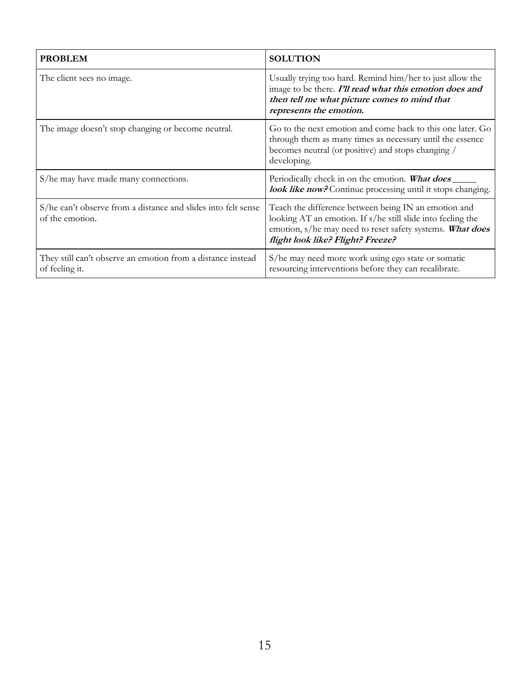| <b>PROBLEM</b>                                                                   | <b>SOLUTION</b>                                                                                                                                                                                                       |
|----------------------------------------------------------------------------------|-----------------------------------------------------------------------------------------------------------------------------------------------------------------------------------------------------------------------|
| The client sees no image.                                                        | Usually trying too hard. Remind him/her to just allow the<br>image to be there. I'll read what this emotion does and<br>then tell me what picture comes to mind that<br>represents the emotion.                       |
| The image doesn't stop changing or become neutral.                               | Go to the next emotion and come back to this one later. Go<br>through them as many times as necessary until the essence<br>becomes neutral (or positive) and stops changing /<br>developing.                          |
| S/he may have made many connections.                                             | Periodically check in on the emotion. What does<br>look like now? Continue processing until it stops changing.                                                                                                        |
| S/he can't observe from a distance and slides into felt sense<br>of the emotion. | Teach the difference between being IN an emotion and<br>looking AT an emotion. If s/he still slide into feeling the<br>emotion, s/he may need to reset safety systems. What does<br>flight look like? Flight? Freeze? |
| They still can't observe an emotion from a distance instead<br>of feeling it.    | S/he may need more work using ego state or somatic<br>resourcing interventions before they can recalibrate.                                                                                                           |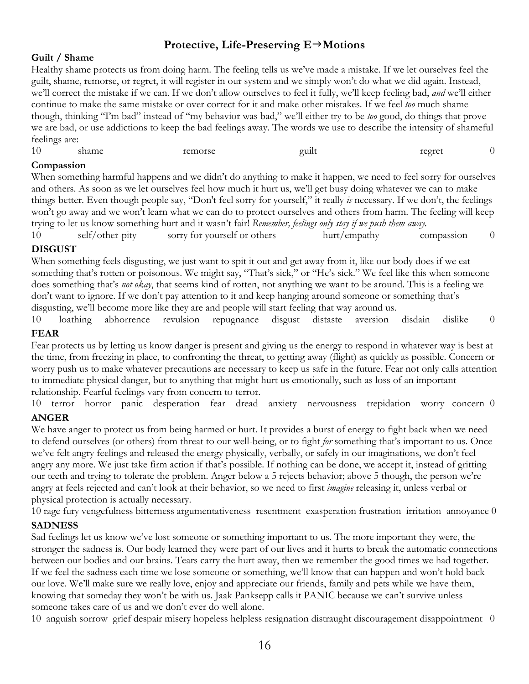#### **Protective, Life-Preserving E→Motions**

#### **Guilt / Shame**

Healthy shame protects us from doing harm. The feeling tells us we've made a mistake. If we let ourselves feel the guilt, shame, remorse, or regret, it will register in our system and we simply won't do what we did again. Instead, we'll correct the mistake if we can. If we don't allow ourselves to feel it fully, we'll keep feeling bad, *and* we'll either continue to make the same mistake or over correct for it and make other mistakes. If we feel *too* much shame though, thinking "I'm bad" instead of "my behavior was bad," we'll either try to be *too* good, do things that prove we are bad, or use addictions to keep the bad feelings away. The words we use to describe the intensity of shameful feelings are:

| 10 | shame | remorse | . .<br>ouilt | regret |  |
|----|-------|---------|--------------|--------|--|
|    |       |         |              |        |  |

#### **Compassion**

When something harmful happens and we didn't do anything to make it happen, we need to feel sorry for ourselves and others. As soon as we let ourselves feel how much it hurt us, we'll get busy doing whatever we can to make things better. Even though people say, "Don't feel sorry for yourself," it really *is* necessary. If we don't, the feelings won't go away and we won't learn what we can do to protect ourselves and others from harm. The feeling will keep trying to let us know something hurt and it wasn't fair! *Remember, feelings only stay if we push them away.*

10 self/other-pity sorry for yourself or others hurt/empathy compassion 0

#### **DISGUST**

When something feels disgusting, we just want to spit it out and get away from it, like our body does if we eat something that's rotten or poisonous. We might say, "That's sick," or "He's sick." We feel like this when someone does something that's *not okay*, that seems kind of rotten, not anything we want to be around. This is a feeling we don't want to ignore. If we don't pay attention to it and keep hanging around someone or something that's disgusting, we'll become more like they are and people will start feeling that way around us.

10 loathing abhorrence revulsion repugnance disgust distaste aversion disdain dislike 0 **FEAR**

Fear protects us by letting us know danger is present and giving us the energy to respond in whatever way is best at the time, from freezing in place, to confronting the threat, to getting away (flight) as quickly as possible. Concern or worry push us to make whatever precautions are necessary to keep us safe in the future. Fear not only calls attention to immediate physical danger, but to anything that might hurt us emotionally, such as loss of an important relationship. Fearful feelings vary from concern to terror.

10 terror horror panic desperation fear dread anxiety nervousness trepidation worry concern 0 **ANGER**

We have anger to protect us from being harmed or hurt. It provides a burst of energy to fight back when we need to defend ourselves (or others) from threat to our well-being, or to fight *for* something that's important to us. Once we've felt angry feelings and released the energy physically, verbally, or safely in our imaginations, we don't feel angry any more. We just take firm action if that's possible. If nothing can be done, we accept it, instead of gritting our teeth and trying to tolerate the problem. Anger below a 5 rejects behavior; above 5 though, the person we're angry at feels rejected and can't look at their behavior, so we need to first *imagine* releasing it, unless verbal or physical protection is actually necessary.

10 rage fury vengefulness bitterness argumentativeness resentment exasperation frustration irritation annoyance 0 **SADNESS**

Sad feelings let us know we've lost someone or something important to us. The more important they were, the stronger the sadness is. Our body learned they were part of our lives and it hurts to break the automatic connections between our bodies and our brains. Tears carry the hurt away, then we remember the good times we had together. If we feel the sadness each time we lose someone or something, we'll know that can happen and won't hold back our love. We'll make sure we really love, enjoy and appreciate our friends, family and pets while we have them, knowing that someday they won't be with us. Jaak Panksepp calls it PANIC because we can't survive unless someone takes care of us and we don't ever do well alone.

10 anguish sorrow grief despair misery hopeless helpless resignation distraught discouragement disappointment 0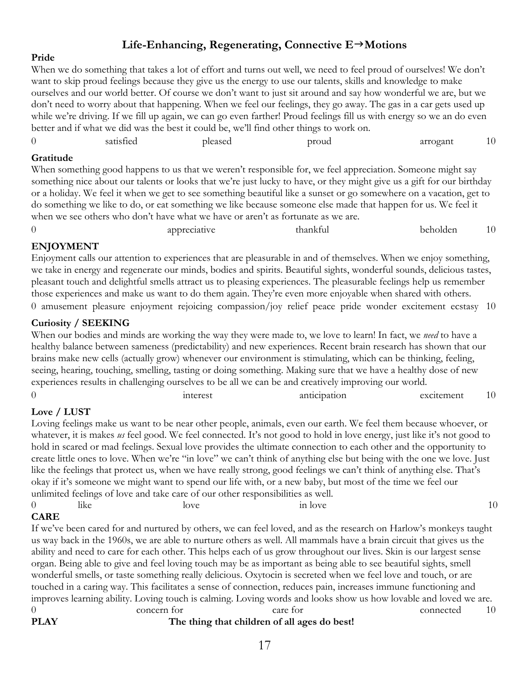## Life-Enhancing, Regenerating, Connective  $E \rightarrow$ Motions

#### **Pride**

When we do something that takes a lot of effort and turns out well, we need to feel proud of ourselves! We don't want to skip proud feelings because they give us the energy to use our talents, skills and knowledge to make ourselves and our world better. Of course we don't want to just sit around and say how wonderful we are, but we don't need to worry about that happening. When we feel our feelings, they go away. The gas in a car gets used up while we're driving. If we fill up again, we can go even farther! Proud feelings fill us with energy so we an do even better and if what we did was the best it could be, we'll find other things to work on.

|           | satisfied | pleased | proud                                                                                                     | arrogant |
|-----------|-----------|---------|-----------------------------------------------------------------------------------------------------------|----------|
| Gratitude |           |         |                                                                                                           |          |
|           |           |         | When comething good bannens to us that we weren't responsible for we feel appreciation. Someone might say |          |

When something good happens to us that we weren't responsible for, we feel appreciation. Someone might say something nice about our talents or looks that we're just lucky to have, or they might give us a gift for our birthday or a holiday. We feel it when we get to see something beautiful like a sunset or go somewhere on a vacation, get to do something we like to do, or eat something we like because someone else made that happen for us. We feel it when we see others who don't have what we have or aren't as fortunate as we are.

| $^{\circ}$<br>. . | appreciative | tha<br>unktui | beholden | <b>*</b> 1 |
|-------------------|--------------|---------------|----------|------------|
|                   |              |               |          |            |

#### **ENJOYMENT**

Enjoyment calls our attention to experiences that are pleasurable in and of themselves. When we enjoy something, we take in energy and regenerate our minds, bodies and spirits. Beautiful sights, wonderful sounds, delicious tastes, pleasant touch and delightful smells attract us to pleasing experiences. The pleasurable feelings help us remember those experiences and make us want to do them again. They're even more enjoyable when shared with others. 0 amusement pleasure enjoyment rejoicing compassion/joy relief peace pride wonder excitement ecstasy 10

#### **Curiosity / SEEKING**

When our bodies and minds are working the way they were made to, we love to learn! In fact, we *need* to have a healthy balance between sameness (predictability) and new experiences. Recent brain research has shown that our brains make new cells (actually grow) whenever our environment is stimulating, which can be thinking, feeling, seeing, hearing, touching, smelling, tasting or doing something. Making sure that we have a healthy dose of new experiences results in challenging ourselves to be all we can be and creatively improving our world.

|                                           | $\sim$<br>mterest | the contract of the contract of the contract of the contract of the contract of the contract of the contract of<br>anticipation | excitement | $\sim$<br>1 V |
|-------------------------------------------|-------------------|---------------------------------------------------------------------------------------------------------------------------------|------------|---------------|
| $\sim$ $\sim$ $\sim$ $\sim$ $\sim$ $\sim$ |                   |                                                                                                                                 |            |               |

#### **Love / LUST**

Loving feelings make us want to be near other people, animals, even our earth. We feel them because whoever, or whatever, it is makes *us* feel good. We feel connected. It's not good to hold in love energy, just like it's not good to hold in scared or mad feelings. Sexual love provides the ultimate connection to each other and the opportunity to create little ones to love. When we're "in love" we can't think of anything else but being with the one we love. Just like the feelings that protect us, when we have really strong, good feelings we can't think of anything else. That's okay if it's someone we might want to spend our life with, or a new baby, but most of the time we feel our unlimited feelings of love and take care of our other responsibilities as well.

| $\overline{0}$ | _<br>.<br>like | love | in love | 10 |
|----------------|----------------|------|---------|----|
| <b>CARE</b>    |                |      |         |    |

#### **CARE**

If we've been cared for and nurtured by others, we can feel loved, and as the research on Harlow's monkeys taught us way back in the 1960s, we are able to nurture others as well. All mammals have a brain circuit that gives us the ability and need to care for each other. This helps each of us grow throughout our lives. Skin is our largest sense organ. Being able to give and feel loving touch may be as important as being able to see beautiful sights, smell wonderful smells, or taste something really delicious. Oxytocin is secreted when we feel love and touch, or are touched in a caring way. This facilitates a sense of connection, reduces pain, increases immune functioning and improves learning ability. Loving touch is calming. Loving words and looks show us how lovable and loved we are. 0 concern for care for connected 10 **PLAY The thing that children of all ages do best!**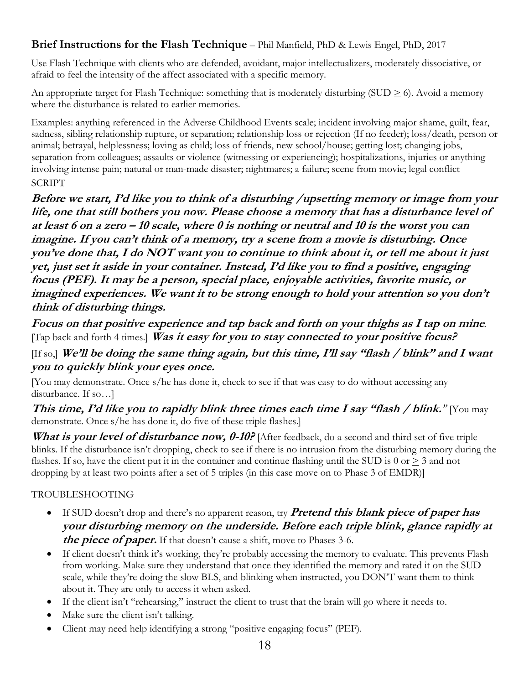# **Brief Instructions for the Flash Technique** – Phil Manfield, PhD & Lewis Engel, PhD, 2017

Use Flash Technique with clients who are defended, avoidant, major intellectualizers, moderately dissociative, or afraid to feel the intensity of the affect associated with a specific memory.

An appropriate target for Flash Technique: something that is moderately disturbing (SUD  $\geq$  6). Avoid a memory where the disturbance is related to earlier memories.

Examples: anything referenced in the Adverse Childhood Events scale; incident involving major shame, guilt, fear, sadness, sibling relationship rupture, or separation; relationship loss or rejection (If no feeder); loss/death, person or animal; betrayal, helplessness; loving as child; loss of friends, new school/house; getting lost; changing jobs, separation from colleagues; assaults or violence (witnessing or experiencing); hospitalizations, injuries or anything involving intense pain; natural or man-made disaster; nightmares; a failure; scene from movie; legal conflict **SCRIPT** 

**Before we start, I'd like you to think of a disturbing /upsetting memory or image from your life, one that still bothers you now. Please choose a memory that has a disturbance level of at least 6 on a zero – 10 scale, where 0 is nothing or neutral and 10 is the worst you can imagine. If you can't think of a memory, try a scene from a movie is disturbing. Once you've done that, I do NOT want you to continue to think about it, or tell me about it just yet, just set it aside in your container. Instead, I'd like you to find a positive, engaging focus (PEF). It may be a person, special place, enjoyable activities, favorite music, or imagined experiences. We want it to be strong enough to hold your attention so you don't think of disturbing things.** 

**Focus on that positive experience and tap back and forth on your thighs as I tap on mine***.*  [Tap back and forth 4 times.] **Was it easy for you to stay connected to your positive focus?**

[If so,] **We'll be doing the same thing again, but this time, I'll say "flash / blink" and I want you to quickly blink your eyes once.**

[You may demonstrate. Once s/he has done it, check to see if that was easy to do without accessing any disturbance. If so…]

**This time, I'd like you to rapidly blink three times each time I say "flash / blink." [You may** demonstrate. Once s/he has done it, do five of these triple flashes.]

What is your level of disturbance now, 0-10? [After feedback, do a second and third set of five triple blinks. If the disturbance isn't dropping, check to see if there is no intrusion from the disturbing memory during the flashes. If so, have the client put it in the container and continue flashing until the SUD is 0 or  $\geq$  3 and not dropping by at least two points after a set of 5 triples (in this case move on to Phase 3 of EMDR)]

#### TROUBLESHOOTING

- If SUD doesn't drop and there's no apparent reason, try **Pretend this blank piece of paper has your disturbing memory on the underside. Before each triple blink, glance rapidly at the piece of paper.** If that doesn't cause a shift, move to Phases 3-6.
- If client doesn't think it's working, they're probably accessing the memory to evaluate. This prevents Flash from working. Make sure they understand that once they identified the memory and rated it on the SUD scale, while they're doing the slow BLS, and blinking when instructed, you DON'T want them to think about it. They are only to access it when asked.
- If the client isn't "rehearsing," instruct the client to trust that the brain will go where it needs to.
- Make sure the client isn't talking.
- Client may need help identifying a strong "positive engaging focus" (PEF).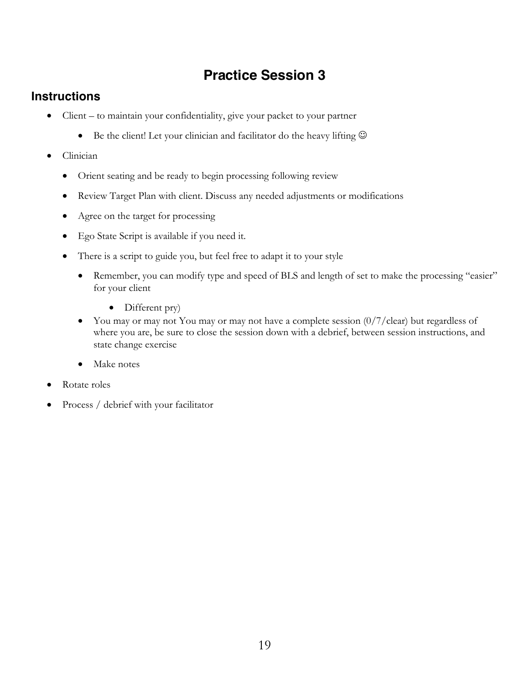# **Practice Session 3**

# **Instructions**

- Client to maintain your confidentiality, give your packet to your partner
	- Be the client! Let your clinician and facilitator do the heavy lifting  $\odot$
- Clinician
	- Orient seating and be ready to begin processing following review
	- Review Target Plan with client. Discuss any needed adjustments or modifications
	- Agree on the target for processing
	- Ego State Script is available if you need it.
	- There is a script to guide you, but feel free to adapt it to your style
		- Remember, you can modify type and speed of BLS and length of set to make the processing "easier" for your client
			- Different pry)
		- You may or may not You may or may not have a complete session  $\frac{0}{7}$  clear) but regardless of where you are, be sure to close the session down with a debrief, between session instructions, and state change exercise
		- Make notes
- Rotate roles
- Process / debrief with your facilitator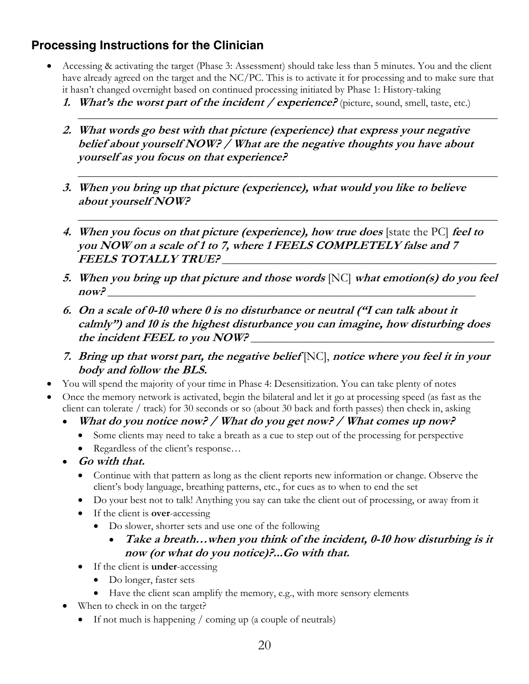# **Processing Instructions for the Clinician**

- Accessing & activating the target (Phase 3: Assessment) should take less than 5 minutes. You and the client have already agreed on the target and the NC/PC. This is to activate it for processing and to make sure that it hasn't changed overnight based on continued processing initiated by Phase 1: History-taking
	- **1.** What's the worst part of the incident / experience? (picture, sound, smell, taste, etc.)

\_\_\_\_\_\_\_\_\_\_\_\_\_\_\_\_\_\_\_\_\_\_\_\_\_\_\_\_\_\_\_\_\_\_\_\_\_\_\_\_\_\_\_\_\_\_\_\_\_\_\_\_\_\_\_\_\_\_\_\_\_\_\_\_\_\_\_\_\_\_\_\_\_\_\_\_\_\_\_\_\_

\_\_\_\_\_\_\_\_\_\_\_\_\_\_\_\_\_\_\_\_\_\_\_\_\_\_\_\_\_\_\_\_\_\_\_\_\_\_\_\_\_\_\_\_\_\_\_\_\_\_\_\_\_\_\_\_\_\_\_\_\_\_\_\_\_\_\_\_\_\_\_\_\_\_\_\_\_\_\_\_\_

\_\_\_\_\_\_\_\_\_\_\_\_\_\_\_\_\_\_\_\_\_\_\_\_\_\_\_\_\_\_\_\_\_\_\_\_\_\_\_\_\_\_\_\_\_\_\_\_\_\_\_\_\_\_\_\_\_\_\_\_\_\_\_\_\_\_\_\_\_\_\_\_\_\_\_\_\_\_\_\_\_

- **2. What words go best with that picture (experience) that express your negative belief about yourself NOW? / What are the negative thoughts you have about yourself as you focus on that experience?**
- **3. When you bring up that picture (experience), what would you like to believe about yourself NOW?**
- **4. When you focus on that picture (experience), how true does** [state the PC] **feel to you NOW on a scale of 1 to 7, where 1 FEELS COMPLETELY false and 7 FEELS TOTALLY TRUE?** \_\_\_\_\_\_\_\_\_\_\_\_\_\_\_\_\_\_\_\_\_\_\_\_\_\_\_\_\_\_\_\_\_\_\_\_\_\_\_\_\_\_\_\_\_\_\_\_\_\_\_\_\_
- **5. When you bring up that picture and those words** [NC] **what emotion(s) do you feel**   $now?$
- **6. On a scale of 0-10 where 0 is no disturbance or neutral ("I can talk about it calmly") and 10 is the highest disturbance you can imagine, how disturbing does**  the incident FEEL to you NOW?
- **7. Bring up that worst part, the negative belief** [NC], **notice where you feel it in your body and follow the BLS.**
- You will spend the majority of your time in Phase 4: Desensitization. You can take plenty of notes
- Once the memory network is activated, begin the bilateral and let it go at processing speed (as fast as the client can tolerate / track) for 30 seconds or so (about 30 back and forth passes) then check in, asking
	- **What do you notice now? / What do you get now? / What comes up now?** 
		- Some clients may need to take a breath as a cue to step out of the processing for perspective
		- Regardless of the client's response...
	- **Go with that.**
		- Continue with that pattern as long as the client reports new information or change. Observe the client's body language, breathing patterns, etc., for cues as to when to end the set
		- Do your best not to talk! Anything you say can take the client out of processing, or away from it
		- If the client is **over**-accessing
			- Do slower, shorter sets and use one of the following
				- **Take a breath…when you think of the incident, 0-10 how disturbing is it now (or what do you notice)?...Go with that.**
		- If the client is **under**-accessing
			- Do longer, faster sets
			- Have the client scan amplify the memory, e.g., with more sensory elements
	- When to check in on the target?
		- If not much is happening / coming up (a couple of neutrals)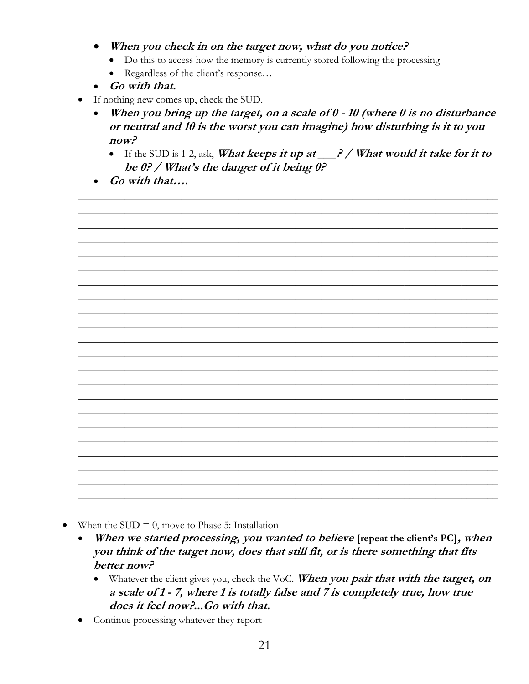- When you check in on the target now, what do you notice?
	- Do this to access how the memory is currently stored following the processing
	- Regardless of the client's response...
- Go with that.
- If nothing new comes up, check the SUD.
	- When you bring up the target, on a scale of  $\theta$  10 (where  $\theta$  is no disturbance or neutral and 10 is the worst you can imagine) how disturbing is it to you  $now?$ 
		- If the SUD is 1-2, ask, What keeps it up at  $\frac{?}{$  / What would it take for it to be 0? / What's the danger of it being 0?
	- $\bullet$  Go with that....

- When the  $SUB = 0$ , move to Phase 5: Installation
	- When we started processing, you wanted to believe [repeat the client's PC], when you think of the target now, does that still fit, or is there something that fits better now?
		- Whatever the client gives you, check the VoC. When you pair that with the target, on a scale of 1 - 7, where 1 is totally false and 7 is completely true, how true does it feel now?...Go with that.
	- Continue processing whatever they report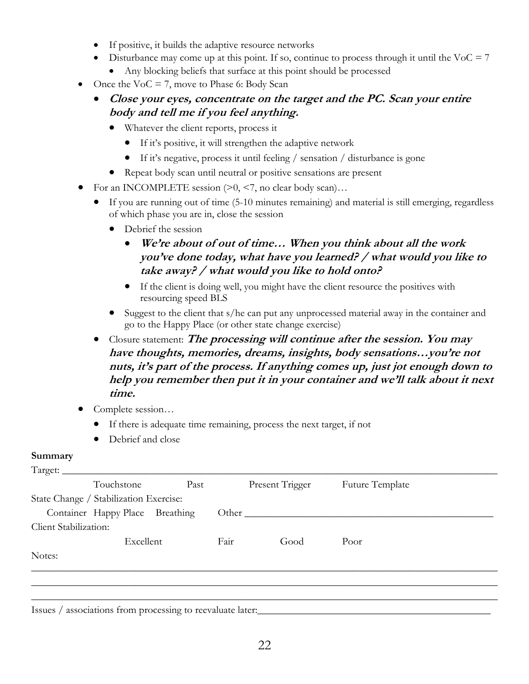- If positive, it builds the adaptive resource networks
- Disturbance may come up at this point. If so, continue to process through it until the VoC  $= 7$ 
	- Any blocking beliefs that surface at this point should be processed
- Once the  $VoC = 7$ , move to Phase 6: Body Scan
	- **Close your eyes, concentrate on the target and the PC. Scan your entire body and tell me if you feel anything.**
		- Whatever the client reports, process it
			- If it's positive, it will strengthen the adaptive network
			- If it's negative, process it until feeling / sensation / disturbance is gone
		- Repeat body scan until neutral or positive sensations are present
- For an INCOMPLETE session  $(0, 5, 7)$ , no clear body scan)...
	- If you are running out of time (5-10 minutes remaining) and material is still emerging, regardless of which phase you are in, close the session
		- Debrief the session
			- **We're about of out of time… When you think about all the work you've done today, what have you learned? / what would you like to take away? / what would you like to hold onto?**
			- If the client is doing well, you might have the client resource the positives with resourcing speed BLS
		- Suggest to the client that s/he can put any unprocessed material away in the container and go to the Happy Place (or other state change exercise)
	- Closure statement: **The processing will continue after the session. You may have thoughts, memories, dreams, insights, body sensations…you're not nuts, it's part of the process. If anything comes up, just jot enough down to help you remember then put it in your container and we'll talk about it next time.**
- Complete session...
	- If there is adequate time remaining, process the next target, if not
	- Debrief and close

#### **Summary**

| Target:               | Touchstone                             | Past |      | Present Trigger | Future Template |
|-----------------------|----------------------------------------|------|------|-----------------|-----------------|
|                       | State Change / Stabilization Exercise: |      |      |                 |                 |
|                       | Container Happy Place Breathing        |      |      | Other           |                 |
| Client Stabilization: |                                        |      |      |                 |                 |
|                       | Excellent                              |      | Fair | Good            | Poor            |
| Notes:                |                                        |      |      |                 |                 |
|                       |                                        |      |      |                 |                 |
|                       |                                        |      |      |                 |                 |
|                       |                                        |      |      |                 |                 |

Issues / associations from processing to reevaluate later: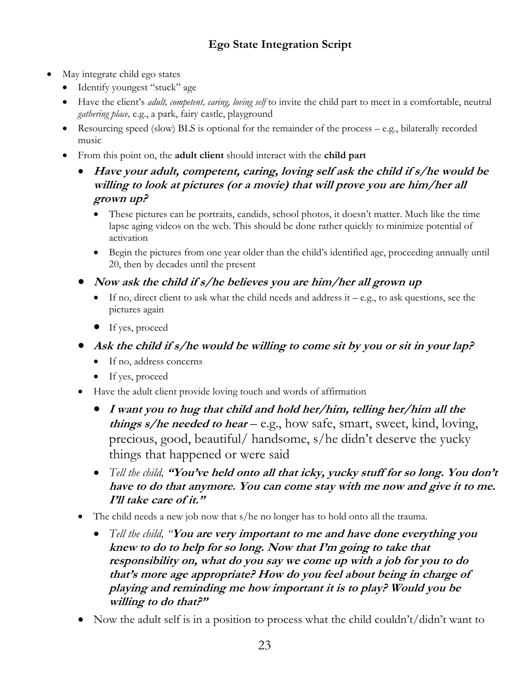# **Ego State Integration Script**

- May integrate child ego states
	- Identify youngest "stuck" age
	- Have the client's *adult, competent, caring, loving self* to invite the child part to meet in a comfortable, neutral *gathering place,* e.g., a park, fairy castle, playground
	- Resourcing speed (slow) BLS is optional for the remainder of the process e.g., bilaterally recorded music
	- From this point on, the **adult client** should interact with the **child part**
		- **Have your adult, competent, caring, loving self ask the child if s/he would be willing to look at pictures (or a movie) that will prove you are him/her all grown up?**
			- These pictures can be portraits, candids, school photos, it doesn't matter. Much like the time lapse aging videos on the web. This should be done rather quickly to minimize potential of activation
			- Begin the pictures from one year older than the child's identified age, proceeding annually until 20, then by decades until the present
		- **Now ask the child if s/he believes you are him/her all grown up**
			- $\bullet$  If no, direct client to ask what the child needs and address it e.g., to ask questions, see the pictures again
			- If yes, proceed
		- Ask the child if s/he would be willing to come sit by you or sit in your lap?
			- If no, address concerns
			- If yes, proceed
		- Have the adult client provide loving touch and words of affirmation
			- **I want you to hug that child and hold her/him, telling her/him all the things s/he needed to hear** – e.g., how safe, smart, sweet, kind, loving, precious, good, beautiful/ handsome, s/he didn't deserve the yucky things that happened or were said
			- *Tell the child,* **"You've held onto all that icky, yucky stuff for so long. You don't have to do that anymore. You can come stay with me now and give it to me. I'll take care of it."**
		- The child needs a new job now that s/he no longer has to hold onto all the trauma.
			- *Tell the child, "***You are very important to me and have done everything you knew to do to help for so long. Now that I'm going to take that responsibility on, what do you say we come up with a job for you to do that's more age appropriate? How do you feel about being in charge of playing and reminding me how important it is to play? Would you be willing to do that?"**
		- Now the adult self is in a position to process what the child couldn't/didn't want to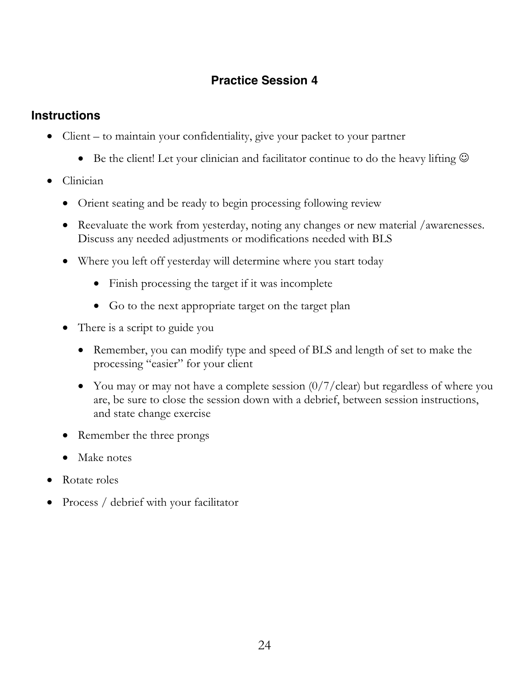# **Practice Session 4**

# **Instructions**

- Client to maintain your confidentiality, give your packet to your partner
	- Be the client! Let your clinician and facilitator continue to do the heavy lifting  $\odot$
- Clinician
	- Orient seating and be ready to begin processing following review
	- Reevaluate the work from yesterday, noting any changes or new material /awarenesses. Discuss any needed adjustments or modifications needed with BLS
	- Where you left off yesterday will determine where you start today
		- Finish processing the target if it was incomplete
		- Go to the next appropriate target on the target plan
	- There is a script to guide you
		- Remember, you can modify type and speed of BLS and length of set to make the processing "easier" for your client
		- You may or may not have a complete session  $\frac{0}{7}$  clear) but regardless of where you are, be sure to close the session down with a debrief, between session instructions, and state change exercise
	- Remember the three prongs
	- Make notes
- Rotate roles
- Process / debrief with your facilitator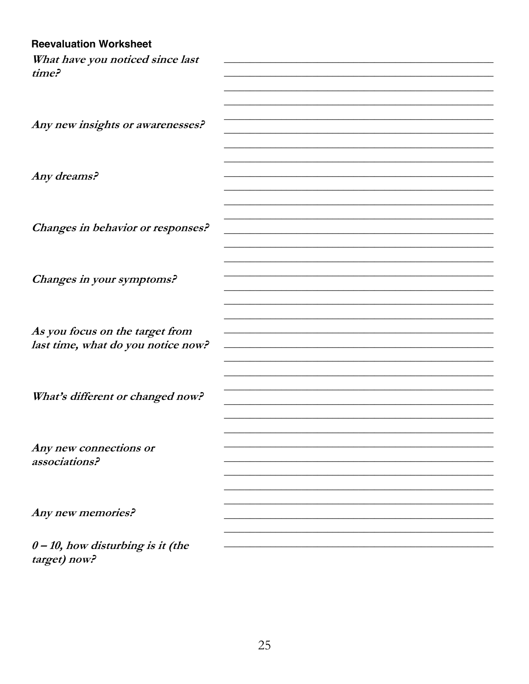| <b>Reevaluation Worksheet</b>                        |  |
|------------------------------------------------------|--|
| What have you noticed since last                     |  |
| time?                                                |  |
|                                                      |  |
|                                                      |  |
|                                                      |  |
| Any new insights or awarenesses?                     |  |
|                                                      |  |
|                                                      |  |
| Any dreams?                                          |  |
|                                                      |  |
|                                                      |  |
|                                                      |  |
| Changes in behavior or responses?                    |  |
|                                                      |  |
|                                                      |  |
|                                                      |  |
| Changes in your symptoms?                            |  |
|                                                      |  |
|                                                      |  |
|                                                      |  |
| As you focus on the target from                      |  |
| last time, what do you notice now?                   |  |
|                                                      |  |
|                                                      |  |
| What's different or changed now?                     |  |
|                                                      |  |
|                                                      |  |
|                                                      |  |
| Any new connections or                               |  |
| associations?                                        |  |
|                                                      |  |
|                                                      |  |
|                                                      |  |
| Any new memories?                                    |  |
|                                                      |  |
| $0 - 10$ , how disturbing is it (the<br>target) now? |  |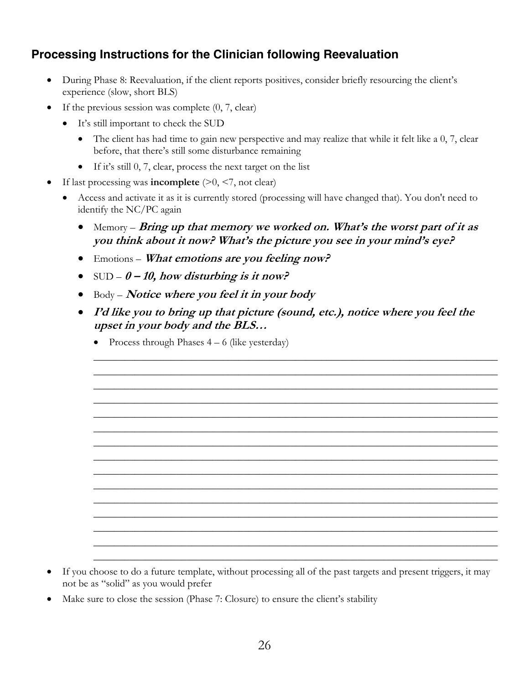# **Processing Instructions for the Clinician following Reevaluation**

- During Phase 8: Reevaluation, if the client reports positives, consider briefly resourcing the client's experience (slow, short BLS)
- If the previous session was complete  $(0, 7, clear)$ 
	- It's still important to check the SUD
		- The client has had time to gain new perspective and may realize that while it felt like a 0, 7, clear before, that there's still some disturbance remaining
		- If it's still 0, 7, clear, process the next target on the list
- If last processing was **incomplete**  $(>0, <7, \text{not clear})$ 
	- Access and activate it as it is currently stored (processing will have changed that). You don't need to identify the NC/PC again
		- Memory *Bring up that memory we worked on. What's the worst part of it as* **you think about it now? What's the picture you see in your mind's eye?**
		- Emotions **What emotions are you feeling now?**
		- SUD **0 – 10, how disturbing is it now?**
		- Body **Notice where you feel it in your body**
		- **I'd like you to bring up that picture (sound, etc.), notice where you feel the upset in your body and the BLS…**

\_\_\_\_\_\_\_\_\_\_\_\_\_\_\_\_\_\_\_\_\_\_\_\_\_\_\_\_\_\_\_\_\_\_\_\_\_\_\_\_\_\_\_\_\_\_\_\_\_\_\_\_\_\_\_\_\_\_\_\_\_\_\_\_\_\_\_\_\_\_\_\_\_\_\_\_\_\_ \_\_\_\_\_\_\_\_\_\_\_\_\_\_\_\_\_\_\_\_\_\_\_\_\_\_\_\_\_\_\_\_\_\_\_\_\_\_\_\_\_\_\_\_\_\_\_\_\_\_\_\_\_\_\_\_\_\_\_\_\_\_\_\_\_\_\_\_\_\_\_\_\_\_\_\_\_\_ \_\_\_\_\_\_\_\_\_\_\_\_\_\_\_\_\_\_\_\_\_\_\_\_\_\_\_\_\_\_\_\_\_\_\_\_\_\_\_\_\_\_\_\_\_\_\_\_\_\_\_\_\_\_\_\_\_\_\_\_\_\_\_\_\_\_\_\_\_\_\_\_\_\_\_\_\_\_ \_\_\_\_\_\_\_\_\_\_\_\_\_\_\_\_\_\_\_\_\_\_\_\_\_\_\_\_\_\_\_\_\_\_\_\_\_\_\_\_\_\_\_\_\_\_\_\_\_\_\_\_\_\_\_\_\_\_\_\_\_\_\_\_\_\_\_\_\_\_\_\_\_\_\_\_\_\_ \_\_\_\_\_\_\_\_\_\_\_\_\_\_\_\_\_\_\_\_\_\_\_\_\_\_\_\_\_\_\_\_\_\_\_\_\_\_\_\_\_\_\_\_\_\_\_\_\_\_\_\_\_\_\_\_\_\_\_\_\_\_\_\_\_\_\_\_\_\_\_\_\_\_\_\_\_\_ \_\_\_\_\_\_\_\_\_\_\_\_\_\_\_\_\_\_\_\_\_\_\_\_\_\_\_\_\_\_\_\_\_\_\_\_\_\_\_\_\_\_\_\_\_\_\_\_\_\_\_\_\_\_\_\_\_\_\_\_\_\_\_\_\_\_\_\_\_\_\_\_\_\_\_\_\_\_ \_\_\_\_\_\_\_\_\_\_\_\_\_\_\_\_\_\_\_\_\_\_\_\_\_\_\_\_\_\_\_\_\_\_\_\_\_\_\_\_\_\_\_\_\_\_\_\_\_\_\_\_\_\_\_\_\_\_\_\_\_\_\_\_\_\_\_\_\_\_\_\_\_\_\_\_\_\_ \_\_\_\_\_\_\_\_\_\_\_\_\_\_\_\_\_\_\_\_\_\_\_\_\_\_\_\_\_\_\_\_\_\_\_\_\_\_\_\_\_\_\_\_\_\_\_\_\_\_\_\_\_\_\_\_\_\_\_\_\_\_\_\_\_\_\_\_\_\_\_\_\_\_\_\_\_\_ \_\_\_\_\_\_\_\_\_\_\_\_\_\_\_\_\_\_\_\_\_\_\_\_\_\_\_\_\_\_\_\_\_\_\_\_\_\_\_\_\_\_\_\_\_\_\_\_\_\_\_\_\_\_\_\_\_\_\_\_\_\_\_\_\_\_\_\_\_\_\_\_\_\_\_\_\_\_ \_\_\_\_\_\_\_\_\_\_\_\_\_\_\_\_\_\_\_\_\_\_\_\_\_\_\_\_\_\_\_\_\_\_\_\_\_\_\_\_\_\_\_\_\_\_\_\_\_\_\_\_\_\_\_\_\_\_\_\_\_\_\_\_\_\_\_\_\_\_\_\_\_\_\_\_\_\_ \_\_\_\_\_\_\_\_\_\_\_\_\_\_\_\_\_\_\_\_\_\_\_\_\_\_\_\_\_\_\_\_\_\_\_\_\_\_\_\_\_\_\_\_\_\_\_\_\_\_\_\_\_\_\_\_\_\_\_\_\_\_\_\_\_\_\_\_\_\_\_\_\_\_\_\_\_\_ \_\_\_\_\_\_\_\_\_\_\_\_\_\_\_\_\_\_\_\_\_\_\_\_\_\_\_\_\_\_\_\_\_\_\_\_\_\_\_\_\_\_\_\_\_\_\_\_\_\_\_\_\_\_\_\_\_\_\_\_\_\_\_\_\_\_\_\_\_\_\_\_\_\_\_\_\_\_ \_\_\_\_\_\_\_\_\_\_\_\_\_\_\_\_\_\_\_\_\_\_\_\_\_\_\_\_\_\_\_\_\_\_\_\_\_\_\_\_\_\_\_\_\_\_\_\_\_\_\_\_\_\_\_\_\_\_\_\_\_\_\_\_\_\_\_\_\_\_\_\_\_\_\_\_\_\_ \_\_\_\_\_\_\_\_\_\_\_\_\_\_\_\_\_\_\_\_\_\_\_\_\_\_\_\_\_\_\_\_\_\_\_\_\_\_\_\_\_\_\_\_\_\_\_\_\_\_\_\_\_\_\_\_\_\_\_\_\_\_\_\_\_\_\_\_\_\_\_\_\_\_\_\_\_\_ \_\_\_\_\_\_\_\_\_\_\_\_\_\_\_\_\_\_\_\_\_\_\_\_\_\_\_\_\_\_\_\_\_\_\_\_\_\_\_\_\_\_\_\_\_\_\_\_\_\_\_\_\_\_\_\_\_\_\_\_\_\_\_\_\_\_\_\_\_\_\_\_\_\_\_\_\_\_

• Process through Phases  $4 - 6$  (like yesterday)

- If you choose to do a future template, without processing all of the past targets and present triggers, it may not be as "solid" as you would prefer
- Make sure to close the session (Phase 7: Closure) to ensure the client's stability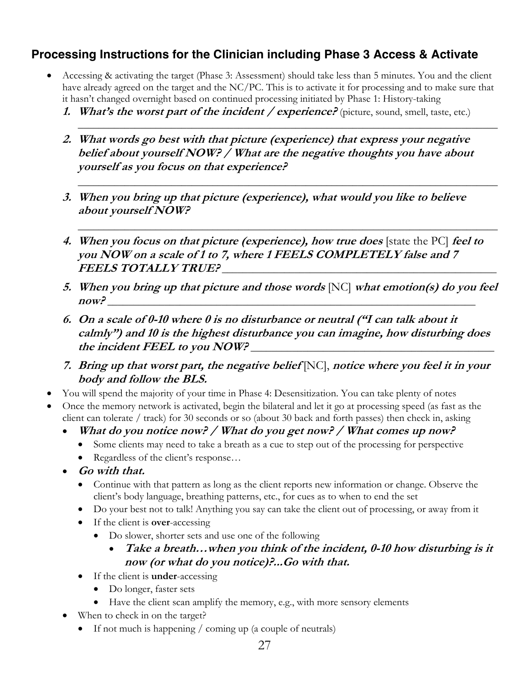# **Processing Instructions for the Clinician including Phase 3 Access & Activate**

- Accessing & activating the target (Phase 3: Assessment) should take less than 5 minutes. You and the client have already agreed on the target and the NC/PC. This is to activate it for processing and to make sure that it hasn't changed overnight based on continued processing initiated by Phase 1: History-taking
	- **1.** What's the worst part of the incident / experience? (picture, sound, smell, taste, etc.)

\_\_\_\_\_\_\_\_\_\_\_\_\_\_\_\_\_\_\_\_\_\_\_\_\_\_\_\_\_\_\_\_\_\_\_\_\_\_\_\_\_\_\_\_\_\_\_\_\_\_\_\_\_\_\_\_\_\_\_\_\_\_\_\_\_\_\_\_\_\_\_\_\_\_\_\_\_\_\_\_\_

\_\_\_\_\_\_\_\_\_\_\_\_\_\_\_\_\_\_\_\_\_\_\_\_\_\_\_\_\_\_\_\_\_\_\_\_\_\_\_\_\_\_\_\_\_\_\_\_\_\_\_\_\_\_\_\_\_\_\_\_\_\_\_\_\_\_\_\_\_\_\_\_\_\_\_\_\_\_\_\_\_

\_\_\_\_\_\_\_\_\_\_\_\_\_\_\_\_\_\_\_\_\_\_\_\_\_\_\_\_\_\_\_\_\_\_\_\_\_\_\_\_\_\_\_\_\_\_\_\_\_\_\_\_\_\_\_\_\_\_\_\_\_\_\_\_\_\_\_\_\_\_\_\_\_\_\_\_\_\_\_\_\_

- **2. What words go best with that picture (experience) that express your negative belief about yourself NOW? / What are the negative thoughts you have about yourself as you focus on that experience?**
- **3. When you bring up that picture (experience), what would you like to believe about yourself NOW?**
- **4. When you focus on that picture (experience), how true does** [state the PC] **feel to you NOW on a scale of 1 to 7, where 1 FEELS COMPLETELY false and 7 FEELS TOTALLY TRUE?** \_\_\_\_\_\_\_\_\_\_\_\_\_\_\_\_\_\_\_\_\_\_\_\_\_\_\_\_\_\_\_\_\_\_\_\_\_\_\_\_\_\_\_\_\_\_\_\_\_\_\_\_\_
- **5. When you bring up that picture and those words** [NC] **what emotion(s) do you feel now?** \_\_\_\_\_\_\_\_\_\_\_\_\_\_\_\_\_\_\_\_\_\_\_\_\_\_\_\_\_\_\_\_\_\_\_\_\_\_\_\_\_\_\_\_\_\_\_\_\_\_\_\_\_\_\_\_\_\_\_\_\_\_\_\_\_\_\_\_\_\_\_
- **6. On a scale of 0-10 where 0 is no disturbance or neutral ("I can talk about it calmly") and 10 is the highest disturbance you can imagine, how disturbing does**  the incident FEEL to you NOW?
- **7. Bring up that worst part, the negative belief** [NC], **notice where you feel it in your body and follow the BLS.**
- You will spend the majority of your time in Phase 4: Desensitization. You can take plenty of notes
- Once the memory network is activated, begin the bilateral and let it go at processing speed (as fast as the client can tolerate / track) for 30 seconds or so (about 30 back and forth passes) then check in, asking
	- **What do you notice now? / What do you get now? / What comes up now?** 
		- Some clients may need to take a breath as a cue to step out of the processing for perspective
		- Regardless of the client's response...
	- **Go with that.**
		- Continue with that pattern as long as the client reports new information or change. Observe the client's body language, breathing patterns, etc., for cues as to when to end the set
		- Do your best not to talk! Anything you say can take the client out of processing, or away from it
		- If the client is **over**-accessing
			- Do slower, shorter sets and use one of the following
				- **Take a breath…when you think of the incident, 0-10 how disturbing is it now (or what do you notice)?...Go with that.**
		- If the client is **under**-accessing
			- Do longer, faster sets
			- Have the client scan amplify the memory, e.g., with more sensory elements
	- When to check in on the target?
		- If not much is happening / coming up (a couple of neutrals)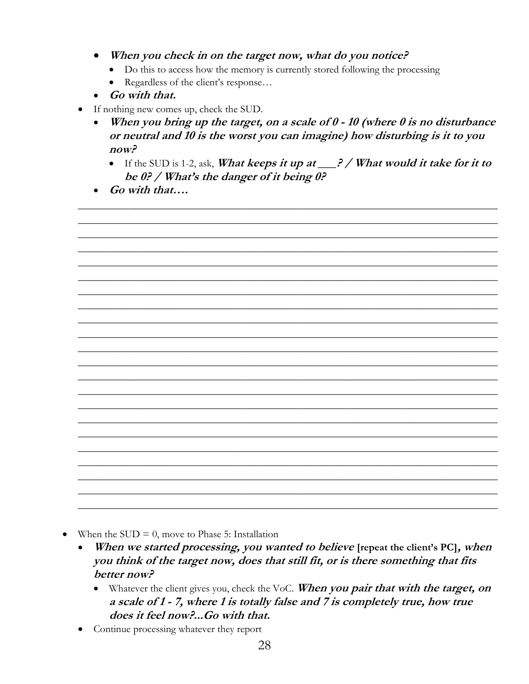- When you check in on the target now, what do you notice?
	- Do this to access how the memory is currently stored following the processing
	- Regardless of the client's response...
- Go with that.
- If nothing new comes up, check the SUD.
	- When you bring up the target, on a scale of  $0 10$  (where  $0$  is no disturbance or neutral and 10 is the worst you can imagine) how disturbing is it to you  $now?$ 
		- If the SUD is 1-2, ask, What keeps it up at  $\frac{?}{$  / What would it take for it to be 0? / What's the danger of it being 0?
	- Go with that....



- When the SUD  $= 0$ , move to Phase 5: Installation  $\bullet$ 
	- When we started processing, you wanted to believe [repeat the client's PC], when you think of the target now, does that still fit, or is there something that fits better now?
		- Whatever the client gives you, check the VoC. When you pair that with the target, on a scale of 1 - 7, where 1 is totally false and 7 is completely true, how true does it feel now?...Go with that.
	- Continue processing whatever they report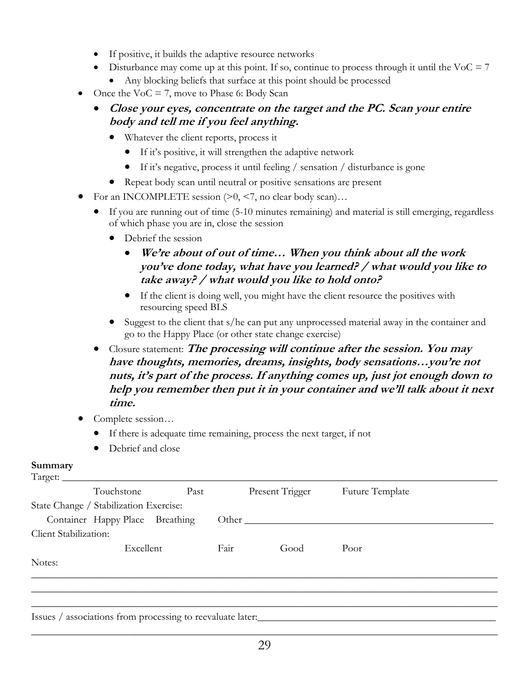- If positive, it builds the adaptive resource networks
- Disturbance may come up at this point. If so, continue to process through it until the VoC  $= 7$ 
	- Any blocking beliefs that surface at this point should be processed
- Once the  $VoC = 7$ , move to Phase 6: Body Scan
	- **Close your eyes, concentrate on the target and the PC. Scan your entire body and tell me if you feel anything.**
		- Whatever the client reports, process it
			- If it's positive, it will strengthen the adaptive network
			- If it's negative, process it until feeling / sensation / disturbance is gone
		- Repeat body scan until neutral or positive sensations are present
- For an INCOMPLETE session  $(>0, <7,$  no clear body scan)...
	- If you are running out of time (5-10 minutes remaining) and material is still emerging, regardless of which phase you are in, close the session
		- Debrief the session
			- **We're about of out of time… When you think about all the work you've done today, what have you learned? / what would you like to take away? / what would you like to hold onto?**
			- If the client is doing well, you might have the client resource the positives with resourcing speed BLS
		- Suggest to the client that s/he can put any unprocessed material away in the container and go to the Happy Place (or other state change exercise)
	- Closure statement: **The processing will continue after the session. You may have thoughts, memories, dreams, insights, body sensations…you're not nuts, it's part of the process. If anything comes up, just jot enough down to help you remember then put it in your container and we'll talk about it next time.**
- Complete session...
	- If there is adequate time remaining, process the next target, if not
	- Debrief and close

#### **Summary**

| Target: $\overline{\phantom{a}}$ | Touchstone                                                 | Past |      | Present Trigger | Future Template |  |
|----------------------------------|------------------------------------------------------------|------|------|-----------------|-----------------|--|
|                                  | State Change / Stabilization Exercise:                     |      |      |                 |                 |  |
|                                  | Container Happy Place Breathing                            |      |      | Other           |                 |  |
| Client Stabilization:            |                                                            |      |      |                 |                 |  |
|                                  | Excellent                                                  |      | Fair | Good            | Poor            |  |
| Notes:                           |                                                            |      |      |                 |                 |  |
|                                  |                                                            |      |      |                 |                 |  |
|                                  |                                                            |      |      |                 |                 |  |
|                                  | Issues / associations from processing to reevaluate later. |      |      |                 |                 |  |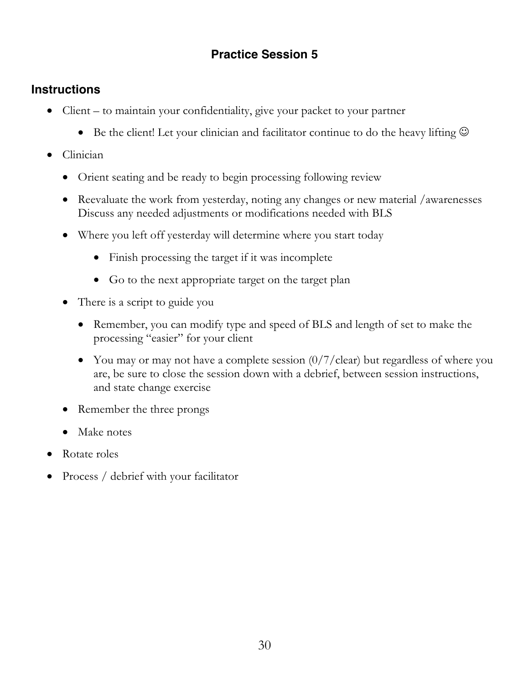# **Practice Session 5**

# **Instructions**

- Client to maintain your confidentiality, give your packet to your partner
	- Be the client! Let your clinician and facilitator continue to do the heavy lifting  $\odot$
- Clinician
	- Orient seating and be ready to begin processing following review
	- Reevaluate the work from yesterday, noting any changes or new material /awarenesses Discuss any needed adjustments or modifications needed with BLS
	- Where you left off yesterday will determine where you start today
		- Finish processing the target if it was incomplete
		- Go to the next appropriate target on the target plan
	- There is a script to guide you
		- Remember, you can modify type and speed of BLS and length of set to make the processing "easier" for your client
		- You may or may not have a complete session  $(0/7/clear)$  but regardless of where you are, be sure to close the session down with a debrief, between session instructions, and state change exercise
	- Remember the three prongs
	- Make notes
- Rotate roles
- Process / debrief with your facilitator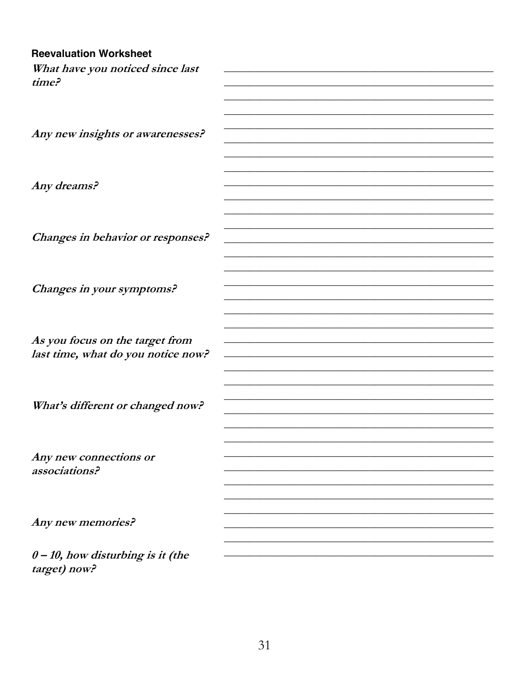#### **Reevaluation Worksheet**

| What have you noticed since last        |  |
|-----------------------------------------|--|
| time?                                   |  |
|                                         |  |
|                                         |  |
|                                         |  |
| Any new insights or awarenesses?        |  |
|                                         |  |
|                                         |  |
| Any dreams?                             |  |
|                                         |  |
|                                         |  |
|                                         |  |
| Changes in behavior or responses?       |  |
|                                         |  |
|                                         |  |
|                                         |  |
| Changes in your symptoms?               |  |
|                                         |  |
|                                         |  |
| As you focus on the target from         |  |
| last time, what do you notice now?      |  |
|                                         |  |
|                                         |  |
|                                         |  |
| What's different or changed now?        |  |
|                                         |  |
|                                         |  |
|                                         |  |
| Any new connections or<br>associations? |  |
|                                         |  |
|                                         |  |
|                                         |  |
| Any new memories?                       |  |
|                                         |  |
| $0 - 10$ , how disturbing is it (the    |  |
| target) now?                            |  |

31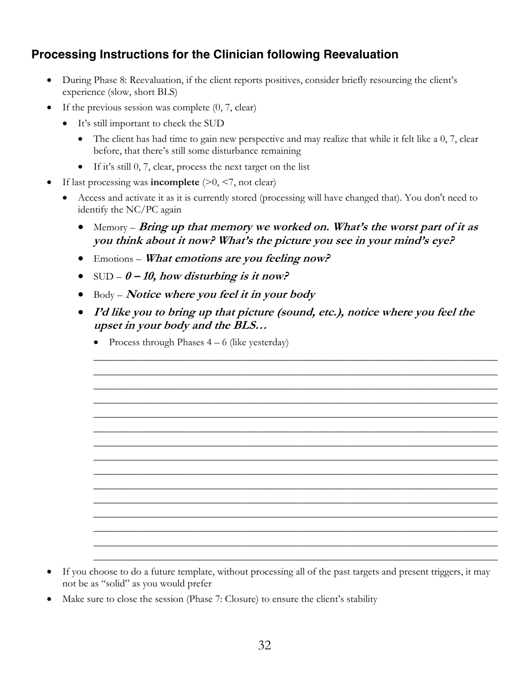# **Processing Instructions for the Clinician following Reevaluation**

- During Phase 8: Reevaluation, if the client reports positives, consider briefly resourcing the client's experience (slow, short BLS)
- If the previous session was complete  $(0, 7, clear)$ 
	- It's still important to check the SUD
		- The client has had time to gain new perspective and may realize that while it felt like a 0, 7, clear before, that there's still some disturbance remaining
		- If it's still 0, 7, clear, process the next target on the list
- If last processing was **incomplete**  $(>0, <7, \text{not clear})$ 
	- Access and activate it as it is currently stored (processing will have changed that). You don't need to identify the NC/PC again
		- Memory *Bring up that memory we worked on. What's the worst part of it as* **you think about it now? What's the picture you see in your mind's eye?**
		- Emotions **What emotions are you feeling now?**
		- SUD **0 – 10, how disturbing is it now?**
		- Body **Notice where you feel it in your body**
		- **I'd like you to bring up that picture (sound, etc.), notice where you feel the upset in your body and the BLS…**

\_\_\_\_\_\_\_\_\_\_\_\_\_\_\_\_\_\_\_\_\_\_\_\_\_\_\_\_\_\_\_\_\_\_\_\_\_\_\_\_\_\_\_\_\_\_\_\_\_\_\_\_\_\_\_\_\_\_\_\_\_\_\_\_\_\_\_\_\_\_\_\_\_\_\_\_\_\_ \_\_\_\_\_\_\_\_\_\_\_\_\_\_\_\_\_\_\_\_\_\_\_\_\_\_\_\_\_\_\_\_\_\_\_\_\_\_\_\_\_\_\_\_\_\_\_\_\_\_\_\_\_\_\_\_\_\_\_\_\_\_\_\_\_\_\_\_\_\_\_\_\_\_\_\_\_\_ \_\_\_\_\_\_\_\_\_\_\_\_\_\_\_\_\_\_\_\_\_\_\_\_\_\_\_\_\_\_\_\_\_\_\_\_\_\_\_\_\_\_\_\_\_\_\_\_\_\_\_\_\_\_\_\_\_\_\_\_\_\_\_\_\_\_\_\_\_\_\_\_\_\_\_\_\_\_ \_\_\_\_\_\_\_\_\_\_\_\_\_\_\_\_\_\_\_\_\_\_\_\_\_\_\_\_\_\_\_\_\_\_\_\_\_\_\_\_\_\_\_\_\_\_\_\_\_\_\_\_\_\_\_\_\_\_\_\_\_\_\_\_\_\_\_\_\_\_\_\_\_\_\_\_\_\_ \_\_\_\_\_\_\_\_\_\_\_\_\_\_\_\_\_\_\_\_\_\_\_\_\_\_\_\_\_\_\_\_\_\_\_\_\_\_\_\_\_\_\_\_\_\_\_\_\_\_\_\_\_\_\_\_\_\_\_\_\_\_\_\_\_\_\_\_\_\_\_\_\_\_\_\_\_\_ \_\_\_\_\_\_\_\_\_\_\_\_\_\_\_\_\_\_\_\_\_\_\_\_\_\_\_\_\_\_\_\_\_\_\_\_\_\_\_\_\_\_\_\_\_\_\_\_\_\_\_\_\_\_\_\_\_\_\_\_\_\_\_\_\_\_\_\_\_\_\_\_\_\_\_\_\_\_ \_\_\_\_\_\_\_\_\_\_\_\_\_\_\_\_\_\_\_\_\_\_\_\_\_\_\_\_\_\_\_\_\_\_\_\_\_\_\_\_\_\_\_\_\_\_\_\_\_\_\_\_\_\_\_\_\_\_\_\_\_\_\_\_\_\_\_\_\_\_\_\_\_\_\_\_\_\_ \_\_\_\_\_\_\_\_\_\_\_\_\_\_\_\_\_\_\_\_\_\_\_\_\_\_\_\_\_\_\_\_\_\_\_\_\_\_\_\_\_\_\_\_\_\_\_\_\_\_\_\_\_\_\_\_\_\_\_\_\_\_\_\_\_\_\_\_\_\_\_\_\_\_\_\_\_\_ \_\_\_\_\_\_\_\_\_\_\_\_\_\_\_\_\_\_\_\_\_\_\_\_\_\_\_\_\_\_\_\_\_\_\_\_\_\_\_\_\_\_\_\_\_\_\_\_\_\_\_\_\_\_\_\_\_\_\_\_\_\_\_\_\_\_\_\_\_\_\_\_\_\_\_\_\_\_ \_\_\_\_\_\_\_\_\_\_\_\_\_\_\_\_\_\_\_\_\_\_\_\_\_\_\_\_\_\_\_\_\_\_\_\_\_\_\_\_\_\_\_\_\_\_\_\_\_\_\_\_\_\_\_\_\_\_\_\_\_\_\_\_\_\_\_\_\_\_\_\_\_\_\_\_\_\_ \_\_\_\_\_\_\_\_\_\_\_\_\_\_\_\_\_\_\_\_\_\_\_\_\_\_\_\_\_\_\_\_\_\_\_\_\_\_\_\_\_\_\_\_\_\_\_\_\_\_\_\_\_\_\_\_\_\_\_\_\_\_\_\_\_\_\_\_\_\_\_\_\_\_\_\_\_\_ \_\_\_\_\_\_\_\_\_\_\_\_\_\_\_\_\_\_\_\_\_\_\_\_\_\_\_\_\_\_\_\_\_\_\_\_\_\_\_\_\_\_\_\_\_\_\_\_\_\_\_\_\_\_\_\_\_\_\_\_\_\_\_\_\_\_\_\_\_\_\_\_\_\_\_\_\_\_ \_\_\_\_\_\_\_\_\_\_\_\_\_\_\_\_\_\_\_\_\_\_\_\_\_\_\_\_\_\_\_\_\_\_\_\_\_\_\_\_\_\_\_\_\_\_\_\_\_\_\_\_\_\_\_\_\_\_\_\_\_\_\_\_\_\_\_\_\_\_\_\_\_\_\_\_\_\_ \_\_\_\_\_\_\_\_\_\_\_\_\_\_\_\_\_\_\_\_\_\_\_\_\_\_\_\_\_\_\_\_\_\_\_\_\_\_\_\_\_\_\_\_\_\_\_\_\_\_\_\_\_\_\_\_\_\_\_\_\_\_\_\_\_\_\_\_\_\_\_\_\_\_\_\_\_\_ \_\_\_\_\_\_\_\_\_\_\_\_\_\_\_\_\_\_\_\_\_\_\_\_\_\_\_\_\_\_\_\_\_\_\_\_\_\_\_\_\_\_\_\_\_\_\_\_\_\_\_\_\_\_\_\_\_\_\_\_\_\_\_\_\_\_\_\_\_\_\_\_\_\_\_\_\_\_

• Process through Phases  $4 - 6$  (like yesterday)

- If you choose to do a future template, without processing all of the past targets and present triggers, it may not be as "solid" as you would prefer
- Make sure to close the session (Phase 7: Closure) to ensure the client's stability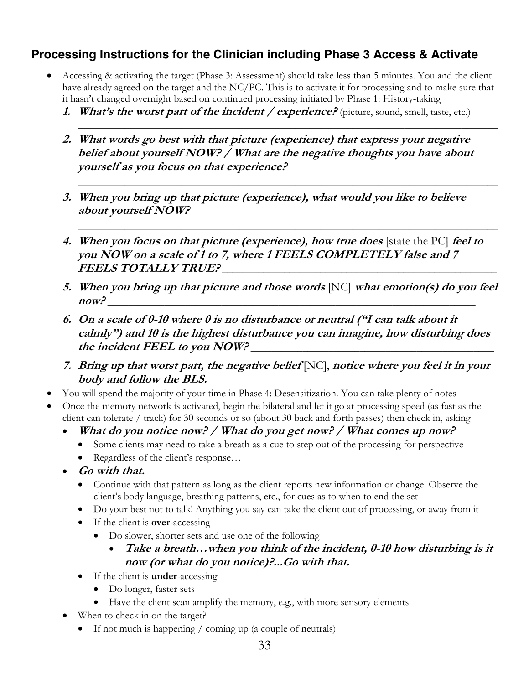# **Processing Instructions for the Clinician including Phase 3 Access & Activate**

- Accessing & activating the target (Phase 3: Assessment) should take less than 5 minutes. You and the client have already agreed on the target and the NC/PC. This is to activate it for processing and to make sure that it hasn't changed overnight based on continued processing initiated by Phase 1: History-taking
	- **1.** What's the worst part of the incident / experience? (picture, sound, smell, taste, etc.)

\_\_\_\_\_\_\_\_\_\_\_\_\_\_\_\_\_\_\_\_\_\_\_\_\_\_\_\_\_\_\_\_\_\_\_\_\_\_\_\_\_\_\_\_\_\_\_\_\_\_\_\_\_\_\_\_\_\_\_\_\_\_\_\_\_\_\_\_\_\_\_\_\_\_\_\_\_\_\_\_\_

\_\_\_\_\_\_\_\_\_\_\_\_\_\_\_\_\_\_\_\_\_\_\_\_\_\_\_\_\_\_\_\_\_\_\_\_\_\_\_\_\_\_\_\_\_\_\_\_\_\_\_\_\_\_\_\_\_\_\_\_\_\_\_\_\_\_\_\_\_\_\_\_\_\_\_\_\_\_\_\_\_

\_\_\_\_\_\_\_\_\_\_\_\_\_\_\_\_\_\_\_\_\_\_\_\_\_\_\_\_\_\_\_\_\_\_\_\_\_\_\_\_\_\_\_\_\_\_\_\_\_\_\_\_\_\_\_\_\_\_\_\_\_\_\_\_\_\_\_\_\_\_\_\_\_\_\_\_\_\_\_\_\_

- **2. What words go best with that picture (experience) that express your negative belief about yourself NOW? / What are the negative thoughts you have about yourself as you focus on that experience?**
- **3. When you bring up that picture (experience), what would you like to believe about yourself NOW?**
- **4. When you focus on that picture (experience), how true does** [state the PC] **feel to you NOW on a scale of 1 to 7, where 1 FEELS COMPLETELY false and 7 FEELS TOTALLY TRUE?** \_\_\_\_\_\_\_\_\_\_\_\_\_\_\_\_\_\_\_\_\_\_\_\_\_\_\_\_\_\_\_\_\_\_\_\_\_\_\_\_\_\_\_\_\_\_\_\_\_\_\_\_\_
- **5. When you bring up that picture and those words** [NC] **what emotion(s) do you feel now?** \_\_\_\_\_\_\_\_\_\_\_\_\_\_\_\_\_\_\_\_\_\_\_\_\_\_\_\_\_\_\_\_\_\_\_\_\_\_\_\_\_\_\_\_\_\_\_\_\_\_\_\_\_\_\_\_\_\_\_\_\_\_\_\_\_\_\_\_\_\_\_
- **6. On a scale of 0-10 where 0 is no disturbance or neutral ("I can talk about it calmly") and 10 is the highest disturbance you can imagine, how disturbing does**  the incident FEEL to you NOW?
- **7. Bring up that worst part, the negative belief** [NC], **notice where you feel it in your body and follow the BLS.**
- You will spend the majority of your time in Phase 4: Desensitization. You can take plenty of notes
- Once the memory network is activated, begin the bilateral and let it go at processing speed (as fast as the client can tolerate / track) for 30 seconds or so (about 30 back and forth passes) then check in, asking
	- **What do you notice now? / What do you get now? / What comes up now?** 
		- Some clients may need to take a breath as a cue to step out of the processing for perspective
		- Regardless of the client's response...
	- **Go with that.**
		- Continue with that pattern as long as the client reports new information or change. Observe the client's body language, breathing patterns, etc., for cues as to when to end the set
		- Do your best not to talk! Anything you say can take the client out of processing, or away from it
		- If the client is **over**-accessing
			- Do slower, shorter sets and use one of the following
				- **Take a breath…when you think of the incident, 0-10 how disturbing is it now (or what do you notice)?...Go with that.**
		- If the client is **under**-accessing
			- Do longer, faster sets
			- Have the client scan amplify the memory, e.g., with more sensory elements
	- When to check in on the target?
		- If not much is happening / coming up (a couple of neutrals)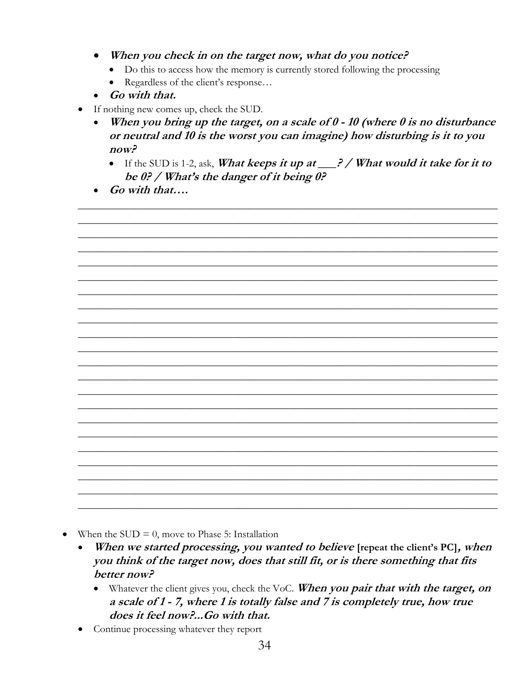- When you check in on the target now, what do you notice?
	- Do this to access how the memory is currently stored following the processing
	- Regardless of the client's response...
- Go with that.
- If nothing new comes up, check the SUD.
	- When you bring up the target, on a scale of  $0 10$  (where  $0$  is no disturbance or neutral and 10 is the worst you can imagine) how disturbing is it to you  $now?$ 
		- If the SUD is 1-2, ask, What keeps it up at  $\frac{?}{$  / What would it take for it to be 0? / What's the danger of it being 0?
	- Go with that....



- When the SUD  $= 0$ , move to Phase 5: Installation  $\bullet$ 
	- When we started processing, you wanted to believe [repeat the client's PC], when you think of the target now, does that still fit, or is there something that fits better now?
		- Whatever the client gives you, check the VoC. When you pair that with the target, on a scale of 1 - 7, where 1 is totally false and 7 is completely true, how true does it feel now?...Go with that.
	- Continue processing whatever they report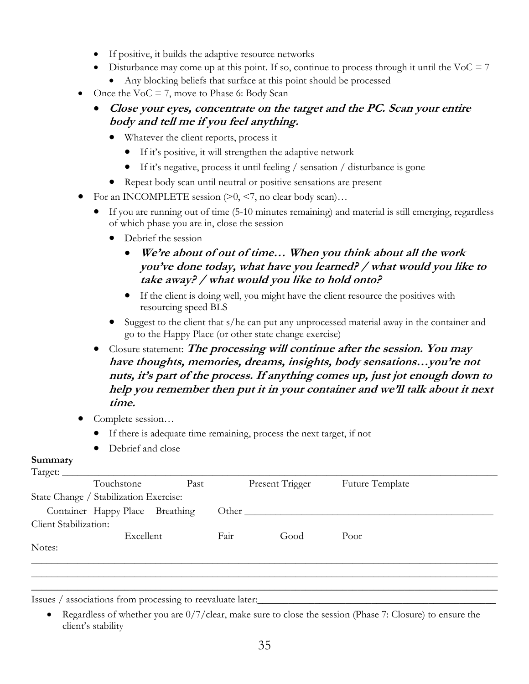- If positive, it builds the adaptive resource networks
- Disturbance may come up at this point. If so, continue to process through it until the VoC  $= 7$ 
	- Any blocking beliefs that surface at this point should be processed
- Once the  $VoC = 7$ , move to Phase 6: Body Scan
	- **Close your eyes, concentrate on the target and the PC. Scan your entire body and tell me if you feel anything.**
		- Whatever the client reports, process it
			- If it's positive, it will strengthen the adaptive network
			- If it's negative, process it until feeling / sensation / disturbance is gone
		- Repeat body scan until neutral or positive sensations are present
- For an INCOMPLETE session  $(>0, <7,$  no clear body scan)...
	- If you are running out of time (5-10 minutes remaining) and material is still emerging, regardless of which phase you are in, close the session
		- Debrief the session
			- **We're about of out of time… When you think about all the work you've done today, what have you learned? / what would you like to take away? / what would you like to hold onto?**
			- If the client is doing well, you might have the client resource the positives with resourcing speed BLS
		- Suggest to the client that s/he can put any unprocessed material away in the container and go to the Happy Place (or other state change exercise)
	- Closure statement: **The processing will continue after the session. You may have thoughts, memories, dreams, insights, body sensations…you're not nuts, it's part of the process. If anything comes up, just jot enough down to help you remember then put it in your container and we'll talk about it next time.**
- Complete session...
	- If there is adequate time remaining, process the next target, if not
	- Debrief and close

# **Summary**<br>Terret:

| Target:               | Touchstone                             | Past |      | Present Trigger | Future Template |  |
|-----------------------|----------------------------------------|------|------|-----------------|-----------------|--|
|                       | State Change / Stabilization Exercise: |      |      |                 |                 |  |
|                       | Container Happy Place Breathing        |      |      | Other $\_\_$    |                 |  |
| Client Stabilization: |                                        |      |      |                 |                 |  |
|                       | Excellent                              |      | Fair | Good            | Poor            |  |
| Notes:                |                                        |      |      |                 |                 |  |
|                       |                                        |      |      |                 |                 |  |
|                       |                                        |      |      |                 |                 |  |
|                       |                                        |      |      |                 |                 |  |

Issues / associations from processing to reevaluate later:

• Regardless of whether you are  $0/7$ /clear, make sure to close the session (Phase 7: Closure) to ensure the client's stability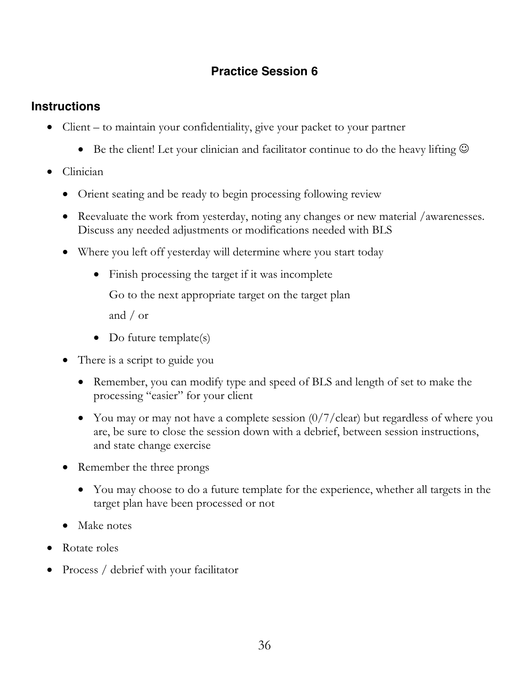# **Practice Session 6**

# **Instructions**

- Client to maintain your confidentiality, give your packet to your partner
	- Be the client! Let your clinician and facilitator continue to do the heavy lifting  $\odot$
- Clinician
	- Orient seating and be ready to begin processing following review
	- Reevaluate the work from yesterday, noting any changes or new material /awarenesses. Discuss any needed adjustments or modifications needed with BLS
	- Where you left off yesterday will determine where you start today
		- Finish processing the target if it was incomplete

Go to the next appropriate target on the target plan

and / or

- Do future template(s)
- There is a script to guide you
	- Remember, you can modify type and speed of BLS and length of set to make the processing "easier" for your client
	- You may or may not have a complete session  $\frac{0}{7}$  clear) but regardless of where you are, be sure to close the session down with a debrief, between session instructions, and state change exercise
- Remember the three prongs
	- You may choose to do a future template for the experience, whether all targets in the target plan have been processed or not
- Make notes
- Rotate roles
- Process / debrief with your facilitator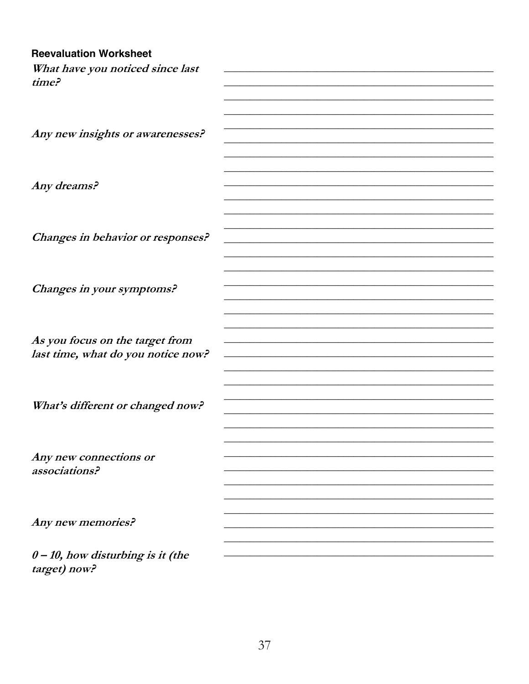#### **Reevaluation Worksheet**

| What have you noticed since last        |  |
|-----------------------------------------|--|
| time?                                   |  |
|                                         |  |
|                                         |  |
|                                         |  |
| Any new insights or awarenesses?        |  |
|                                         |  |
|                                         |  |
| Any dreams?                             |  |
|                                         |  |
|                                         |  |
|                                         |  |
| Changes in behavior or responses?       |  |
|                                         |  |
|                                         |  |
|                                         |  |
| Changes in your symptoms?               |  |
|                                         |  |
|                                         |  |
| As you focus on the target from         |  |
| last time, what do you notice now?      |  |
|                                         |  |
|                                         |  |
|                                         |  |
| What's different or changed now?        |  |
|                                         |  |
|                                         |  |
|                                         |  |
| Any new connections or<br>associations? |  |
|                                         |  |
|                                         |  |
|                                         |  |
| Any new memories?                       |  |
|                                         |  |
| $0 - 10$ , how disturbing is it (the    |  |
| target) now?                            |  |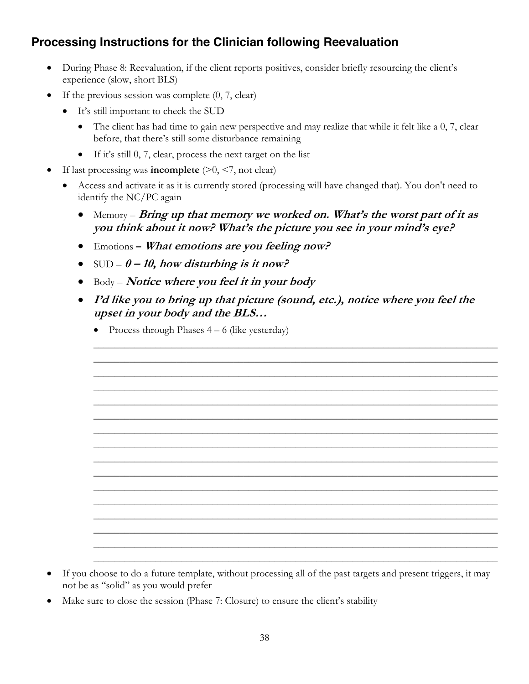# **Processing Instructions for the Clinician following Reevaluation**

- During Phase 8: Reevaluation, if the client reports positives, consider briefly resourcing the client's experience (slow, short BLS)
- If the previous session was complete  $(0, 7, clear)$ 
	- It's still important to check the SUD
		- The client has had time to gain new perspective and may realize that while it felt like a 0, 7, clear before, that there's still some disturbance remaining
		- If it's still 0, 7, clear, process the next target on the list
- If last processing was **incomplete**  $(>0, <7, \text{not clear})$ 
	- Access and activate it as it is currently stored (processing will have changed that). You don't need to identify the NC/PC again
		- Memory **Bring up that memory we worked on. What's the worst part of it as you think about it now? What's the picture you see in your mind's eye?**
		- Emotions **– What emotions are you feeling now?**
		- SUD **0 – 10, how disturbing is it now?**
		- Body **Notice where you feel it in your body**
		- **I'd like you to bring up that picture (sound, etc.), notice where you feel the upset in your body and the BLS…**

\_\_\_\_\_\_\_\_\_\_\_\_\_\_\_\_\_\_\_\_\_\_\_\_\_\_\_\_\_\_\_\_\_\_\_\_\_\_\_\_\_\_\_\_\_\_\_\_\_\_\_\_\_\_\_\_\_\_\_\_\_\_\_\_\_\_\_\_\_\_\_\_\_\_\_\_\_\_ \_\_\_\_\_\_\_\_\_\_\_\_\_\_\_\_\_\_\_\_\_\_\_\_\_\_\_\_\_\_\_\_\_\_\_\_\_\_\_\_\_\_\_\_\_\_\_\_\_\_\_\_\_\_\_\_\_\_\_\_\_\_\_\_\_\_\_\_\_\_\_\_\_\_\_\_\_\_ \_\_\_\_\_\_\_\_\_\_\_\_\_\_\_\_\_\_\_\_\_\_\_\_\_\_\_\_\_\_\_\_\_\_\_\_\_\_\_\_\_\_\_\_\_\_\_\_\_\_\_\_\_\_\_\_\_\_\_\_\_\_\_\_\_\_\_\_\_\_\_\_\_\_\_\_\_\_ \_\_\_\_\_\_\_\_\_\_\_\_\_\_\_\_\_\_\_\_\_\_\_\_\_\_\_\_\_\_\_\_\_\_\_\_\_\_\_\_\_\_\_\_\_\_\_\_\_\_\_\_\_\_\_\_\_\_\_\_\_\_\_\_\_\_\_\_\_\_\_\_\_\_\_\_\_\_ \_\_\_\_\_\_\_\_\_\_\_\_\_\_\_\_\_\_\_\_\_\_\_\_\_\_\_\_\_\_\_\_\_\_\_\_\_\_\_\_\_\_\_\_\_\_\_\_\_\_\_\_\_\_\_\_\_\_\_\_\_\_\_\_\_\_\_\_\_\_\_\_\_\_\_\_\_\_ \_\_\_\_\_\_\_\_\_\_\_\_\_\_\_\_\_\_\_\_\_\_\_\_\_\_\_\_\_\_\_\_\_\_\_\_\_\_\_\_\_\_\_\_\_\_\_\_\_\_\_\_\_\_\_\_\_\_\_\_\_\_\_\_\_\_\_\_\_\_\_\_\_\_\_\_\_\_ \_\_\_\_\_\_\_\_\_\_\_\_\_\_\_\_\_\_\_\_\_\_\_\_\_\_\_\_\_\_\_\_\_\_\_\_\_\_\_\_\_\_\_\_\_\_\_\_\_\_\_\_\_\_\_\_\_\_\_\_\_\_\_\_\_\_\_\_\_\_\_\_\_\_\_\_\_\_ \_\_\_\_\_\_\_\_\_\_\_\_\_\_\_\_\_\_\_\_\_\_\_\_\_\_\_\_\_\_\_\_\_\_\_\_\_\_\_\_\_\_\_\_\_\_\_\_\_\_\_\_\_\_\_\_\_\_\_\_\_\_\_\_\_\_\_\_\_\_\_\_\_\_\_\_\_\_ \_\_\_\_\_\_\_\_\_\_\_\_\_\_\_\_\_\_\_\_\_\_\_\_\_\_\_\_\_\_\_\_\_\_\_\_\_\_\_\_\_\_\_\_\_\_\_\_\_\_\_\_\_\_\_\_\_\_\_\_\_\_\_\_\_\_\_\_\_\_\_\_\_\_\_\_\_\_ \_\_\_\_\_\_\_\_\_\_\_\_\_\_\_\_\_\_\_\_\_\_\_\_\_\_\_\_\_\_\_\_\_\_\_\_\_\_\_\_\_\_\_\_\_\_\_\_\_\_\_\_\_\_\_\_\_\_\_\_\_\_\_\_\_\_\_\_\_\_\_\_\_\_\_\_\_\_ \_\_\_\_\_\_\_\_\_\_\_\_\_\_\_\_\_\_\_\_\_\_\_\_\_\_\_\_\_\_\_\_\_\_\_\_\_\_\_\_\_\_\_\_\_\_\_\_\_\_\_\_\_\_\_\_\_\_\_\_\_\_\_\_\_\_\_\_\_\_\_\_\_\_\_\_\_\_ \_\_\_\_\_\_\_\_\_\_\_\_\_\_\_\_\_\_\_\_\_\_\_\_\_\_\_\_\_\_\_\_\_\_\_\_\_\_\_\_\_\_\_\_\_\_\_\_\_\_\_\_\_\_\_\_\_\_\_\_\_\_\_\_\_\_\_\_\_\_\_\_\_\_\_\_\_\_ \_\_\_\_\_\_\_\_\_\_\_\_\_\_\_\_\_\_\_\_\_\_\_\_\_\_\_\_\_\_\_\_\_\_\_\_\_\_\_\_\_\_\_\_\_\_\_\_\_\_\_\_\_\_\_\_\_\_\_\_\_\_\_\_\_\_\_\_\_\_\_\_\_\_\_\_\_\_ \_\_\_\_\_\_\_\_\_\_\_\_\_\_\_\_\_\_\_\_\_\_\_\_\_\_\_\_\_\_\_\_\_\_\_\_\_\_\_\_\_\_\_\_\_\_\_\_\_\_\_\_\_\_\_\_\_\_\_\_\_\_\_\_\_\_\_\_\_\_\_\_\_\_\_\_\_\_ \_\_\_\_\_\_\_\_\_\_\_\_\_\_\_\_\_\_\_\_\_\_\_\_\_\_\_\_\_\_\_\_\_\_\_\_\_\_\_\_\_\_\_\_\_\_\_\_\_\_\_\_\_\_\_\_\_\_\_\_\_\_\_\_\_\_\_\_\_\_\_\_\_\_\_\_\_\_ \_\_\_\_\_\_\_\_\_\_\_\_\_\_\_\_\_\_\_\_\_\_\_\_\_\_\_\_\_\_\_\_\_\_\_\_\_\_\_\_\_\_\_\_\_\_\_\_\_\_\_\_\_\_\_\_\_\_\_\_\_\_\_\_\_\_\_\_\_\_\_\_\_\_\_\_\_\_

• Process through Phases  $4 - 6$  (like yesterday)

- If you choose to do a future template, without processing all of the past targets and present triggers, it may not be as "solid" as you would prefer
- Make sure to close the session (Phase 7: Closure) to ensure the client's stability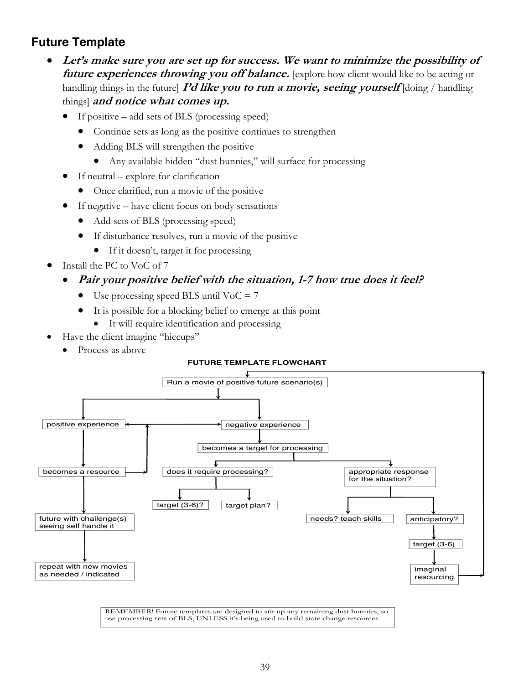# **Future Template**

- **Let's make sure you are set up for success. We want to minimize the possibility of future experiences throwing you off balance.** [explore how client would like to be acting or handling things in the future] **I'd like you to run a movie, seeing yourself** [doing / handling things] **and notice what comes up.**
	- If positive add sets of BLS (processing speed)
		- Continue sets as long as the positive continues to strengthen
		- Adding BLS will strengthen the positive
			- Any available hidden "dust bunnies," will surface for processing
	- If neutral explore for clarification
		- Once clarified, run a movie of the positive
	- If negative have client focus on body sensations
		- Add sets of BLS (processing speed)
		- If disturbance resolves, run a movie of the positive
			- If it doesn't, target it for processing
- Install the PC to VoC of 7

#### • **Pair your positive belief with the situation, 1-7 how true does it feel?**

- Use processing speed BLS until  $VoC = 7$
- It is possible for a blocking belief to emerge at this point
	- It will require identification and processing
- Have the client imagine "hiccups"
	- Process as above





REMEMBER! Future templates are designed to stir up any remaining dust bunnies, so use processing sets of BLS, UNLESS it's being used to build state change resources